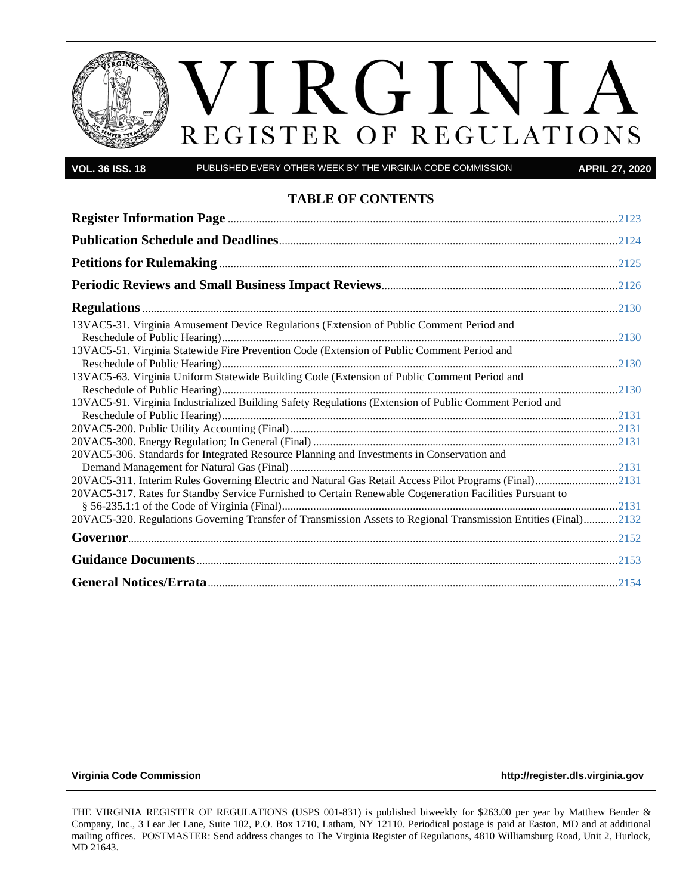# VIRGINIA REGISTER OF REGULATIONS

**VOL. 36 ISS. 18** PUBLISHED EVERY OTHER WEEK BY THE VIRGINIA CODE COMMISSION **APRIL 27, 2020**

#### **TABLE OF CONTENTS**

| 13VAC5-31. Virginia Amusement Device Regulations (Extension of Public Comment Period and                        |  |
|-----------------------------------------------------------------------------------------------------------------|--|
| 13VAC5-51. Virginia Statewide Fire Prevention Code (Extension of Public Comment Period and                      |  |
| 13VAC5-63. Virginia Uniform Statewide Building Code (Extension of Public Comment Period and                     |  |
| 13VAC5-91. Virginia Industrialized Building Safety Regulations (Extension of Public Comment Period and          |  |
|                                                                                                                 |  |
| 20VAC5-306. Standards for Integrated Resource Planning and Investments in Conservation and                      |  |
| 20VAC5-311. Interim Rules Governing Electric and Natural Gas Retail Access Pilot Programs (Final)2131           |  |
| 20VAC5-317. Rates for Standby Service Furnished to Certain Renewable Cogeneration Facilities Pursuant to        |  |
| 20VAC5-320. Regulations Governing Transfer of Transmission Assets to Regional Transmission Entities (Final)2132 |  |
|                                                                                                                 |  |
|                                                                                                                 |  |
|                                                                                                                 |  |

**[Virginia Code Commission](http://register.dls.virginia.gov/) [http://register.dls.virginia.gov](http://register.dls.virginia.gov/)**

THE VIRGINIA REGISTER OF REGULATIONS (USPS 001-831) is published biweekly for \$263.00 per year by Matthew Bender & Company, Inc., 3 Lear Jet Lane, Suite 102, P.O. Box 1710, Latham, NY 12110. Periodical postage is paid at Easton, MD and at additional mailing offices. POSTMASTER: Send address changes to The Virginia Register of Regulations, 4810 Williamsburg Road, Unit 2, Hurlock, MD 21643.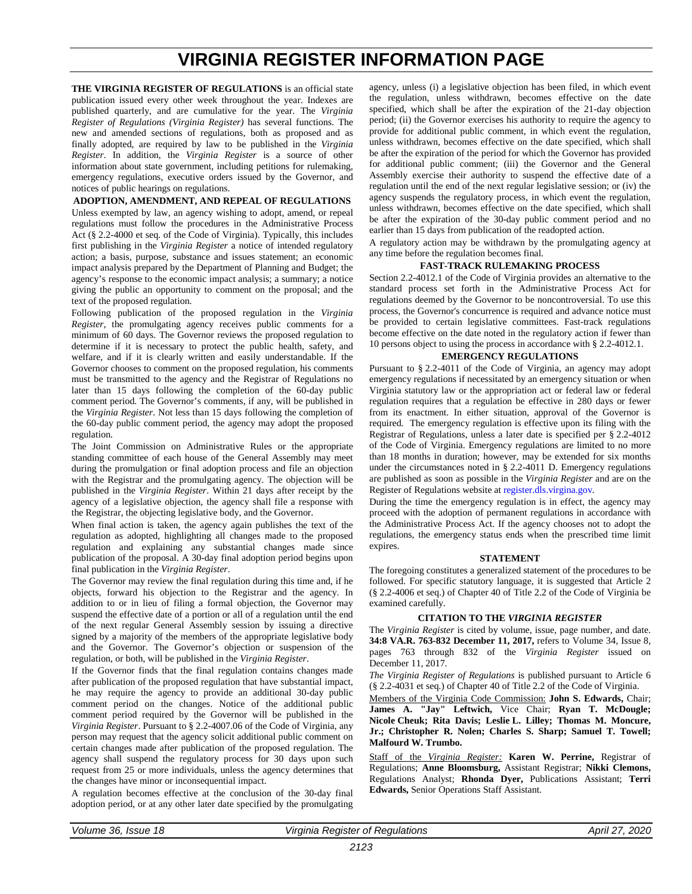### **VIRGINIA REGISTER INFORMATION PAGE**

<span id="page-1-0"></span>**THE VIRGINIA REGISTER OF REGULATIONS** is an official state publication issued every other week throughout the year. Indexes are published quarterly, and are cumulative for the year. The *Virginia Register of Regulations (Virginia Register)* has several functions. The new and amended sections of regulations, both as proposed and as finally adopted, are required by law to be published in the *Virginia Register*. In addition, the *Virginia Register* is a source of other information about state government, including petitions for rulemaking, emergency regulations, executive orders issued by the Governor, and notices of public hearings on regulations.

**ADOPTION, AMENDMENT, AND REPEAL OF REGULATIONS** Unless exempted by law, an agency wishing to adopt, amend, or repeal regulations must follow the procedures in the Administrative Process Act (§ 2.2-4000 et seq. of the Code of Virginia). Typically, this includes first publishing in the *Virginia Register* a notice of intended regulatory action; a basis, purpose, substance and issues statement; an economic impact analysis prepared by the Department of Planning and Budget; the agency's response to the economic impact analysis; a summary; a notice giving the public an opportunity to comment on the proposal; and the text of the proposed regulation.

Following publication of the proposed regulation in the *Virginia Register*, the promulgating agency receives public comments for a minimum of 60 days. The Governor reviews the proposed regulation to determine if it is necessary to protect the public health, safety, and welfare, and if it is clearly written and easily understandable. If the Governor chooses to comment on the proposed regulation, his comments must be transmitted to the agency and the Registrar of Regulations no later than 15 days following the completion of the 60-day public comment period. The Governor's comments, if any, will be published in the *Virginia Register*. Not less than 15 days following the completion of the 60-day public comment period, the agency may adopt the proposed regulation.

The Joint Commission on Administrative Rules or the appropriate standing committee of each house of the General Assembly may meet during the promulgation or final adoption process and file an objection with the Registrar and the promulgating agency. The objection will be published in the *Virginia Register*. Within 21 days after receipt by the agency of a legislative objection, the agency shall file a response with the Registrar, the objecting legislative body, and the Governor.

When final action is taken, the agency again publishes the text of the regulation as adopted, highlighting all changes made to the proposed regulation and explaining any substantial changes made since publication of the proposal. A 30-day final adoption period begins upon final publication in the *Virginia Register*.

The Governor may review the final regulation during this time and, if he objects, forward his objection to the Registrar and the agency. In addition to or in lieu of filing a formal objection, the Governor may suspend the effective date of a portion or all of a regulation until the end of the next regular General Assembly session by issuing a directive signed by a majority of the members of the appropriate legislative body and the Governor. The Governor's objection or suspension of the regulation, or both, will be published in the *Virginia Register*.

If the Governor finds that the final regulation contains changes made after publication of the proposed regulation that have substantial impact, he may require the agency to provide an additional 30-day public comment period on the changes. Notice of the additional public comment period required by the Governor will be published in the *Virginia Register*. Pursuant to § 2.2-4007.06 of the Code of Virginia, any person may request that the agency solicit additional public comment on certain changes made after publication of the proposed regulation. The agency shall suspend the regulatory process for 30 days upon such request from 25 or more individuals, unless the agency determines that the changes have minor or inconsequential impact.

A regulation becomes effective at the conclusion of the 30-day final adoption period, or at any other later date specified by the promulgating

agency, unless (i) a legislative objection has been filed, in which event the regulation, unless withdrawn, becomes effective on the date specified, which shall be after the expiration of the 21-day objection period; (ii) the Governor exercises his authority to require the agency to provide for additional public comment, in which event the regulation, unless withdrawn, becomes effective on the date specified, which shall be after the expiration of the period for which the Governor has provided for additional public comment; (iii) the Governor and the General Assembly exercise their authority to suspend the effective date of a regulation until the end of the next regular legislative session; or (iv) the agency suspends the regulatory process, in which event the regulation, unless withdrawn, becomes effective on the date specified, which shall be after the expiration of the 30-day public comment period and no earlier than 15 days from publication of the readopted action.

A regulatory action may be withdrawn by the promulgating agency at any time before the regulation becomes final.

#### **FAST-TRACK RULEMAKING PROCESS**

Section 2.2-4012.1 of the Code of Virginia provides an alternative to the standard process set forth in the Administrative Process Act for regulations deemed by the Governor to be noncontroversial. To use this process, the Governor's concurrence is required and advance notice must be provided to certain legislative committees. Fast-track regulations become effective on the date noted in the regulatory action if fewer than 10 persons object to using the process in accordance with § 2.2-4012.1.

#### **EMERGENCY REGULATIONS**

Pursuant to § [2.2-4011](http://leg1.state.va.us/cgi-bin/legp504.exe?000+cod+2.2-4011) of the Code of Virginia, an agency may adopt emergency regulations if necessitated by an emergency situation or when Virginia statutory law or the appropriation act or federal law or federal regulation requires that a regulation be effective in 280 days or fewer from its enactment. In either situation, approval of the Governor is required. The emergency regulation is effective upon its filing with the Registrar of Regulations, unless a later date is specified per § [2.2-4012](http://leg1.state.va.us/cgi-bin/legp504.exe?000+cod+2.2-4011) of the Code of Virginia. Emergency regulations are limited to no more than 18 months in duration; however, may be extended for six months under the circumstances noted in § 2.2-4011 D. Emergency regulations are published as soon as possible in the *Virginia Register* and are on the Register of Regulations website a[t register.dls.virgina.gov.](file://legmain/sysdata/dlsdata/CODEREGS/regispub/Vol36/Iss18/register.dls.virgina.gov)

During the time the emergency regulation is in effect, the agency may proceed with the adoption of permanent regulations in accordance with the Administrative Process Act. If the agency chooses not to adopt the regulations, the emergency status ends when the prescribed time limit expires.

#### **STATEMENT**

The foregoing constitutes a generalized statement of the procedures to be followed. For specific statutory language, it is suggested that Article 2 (§ 2.2-4006 et seq.) of Chapter 40 of Title 2.2 of the Code of Virginia be examined carefully.

#### **CITATION TO THE** *VIRGINIA REGISTER*

The *Virginia Register* is cited by volume, issue, page number, and date. **34:8 VA.R. 763-832 December 11, 2017,** refers to Volume 34, Issue 8, pages 763 through 832 of the *Virginia Register* issued on December 11, 2017.

*The Virginia Register of Regulations* is published pursuant to Article 6 (§ 2.2-4031 et seq.) of Chapter 40 of Title 2.2 of the Code of Virginia.

Members of the Virginia Code Commission: **John S. Edwards,** Chair; **James A. "Jay" Leftwich,** Vice Chair; **Ryan T. McDougle; Nicole Cheuk; Rita Davis; Leslie L. Lilley; Thomas M. Moncure, Jr.; Christopher R. Nolen; Charles S. Sharp; Samuel T. Towell; Malfourd W. Trumbo.**

Staff of the *Virginia Register:* **Karen W. Perrine,** Registrar of Regulations; **Anne Bloomsburg,** Assistant Registrar; **Nikki Clemons,** Regulations Analyst; **Rhonda Dyer,** Publications Assistant; **Terri Edwards,** Senior Operations Staff Assistant.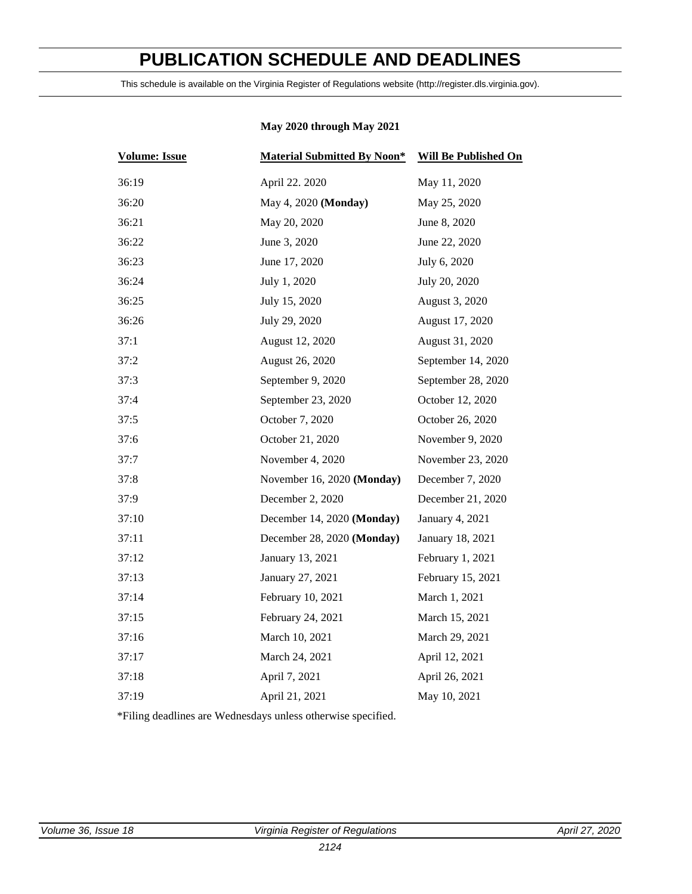## **PUBLICATION SCHEDULE AND DEADLINES**

<span id="page-2-0"></span>This schedule is available on the Virginia Register of Regulations website (http://register.dls.virginia.gov).

### **May 2020 through May 2021**

| <b>Volume: Issue</b> | <b>Material Submitted By Noon*</b> | <b>Will Be Published On</b> |
|----------------------|------------------------------------|-----------------------------|
| 36:19                | April 22. 2020                     | May 11, 2020                |
| 36:20                | May 4, 2020 (Monday)               | May 25, 2020                |
| 36:21                | May 20, 2020                       | June 8, 2020                |
| 36:22                | June 3, 2020                       | June 22, 2020               |
| 36:23                | June 17, 2020                      | July 6, 2020                |
| 36:24                | July 1, 2020                       | July 20, 2020               |
| 36:25                | July 15, 2020                      | August 3, 2020              |
| 36:26                | July 29, 2020                      | August 17, 2020             |
| 37:1                 | August 12, 2020                    | August 31, 2020             |
| 37:2                 | August 26, 2020                    | September 14, 2020          |
| 37:3                 | September 9, 2020                  | September 28, 2020          |
| 37:4                 | September 23, 2020                 | October 12, 2020            |
| 37:5                 | October 7, 2020                    | October 26, 2020            |
| 37:6                 | October 21, 2020                   | November 9, 2020            |
| 37:7                 | November 4, 2020                   | November 23, 2020           |
| 37:8                 | November 16, 2020 (Monday)         | December 7, 2020            |
| 37:9                 | December 2, 2020                   | December 21, 2020           |
| 37:10                | December 14, 2020 (Monday)         | January 4, 2021             |
| 37:11                | December 28, 2020 (Monday)         | January 18, 2021            |
| 37:12                | January 13, 2021                   | February 1, 2021            |
| 37:13                | January 27, 2021                   | February 15, 2021           |
| 37:14                | February 10, 2021                  | March 1, 2021               |
| 37:15                | February 24, 2021                  | March 15, 2021              |
| 37:16                | March 10, 2021                     | March 29, 2021              |
| 37:17                | March 24, 2021                     | April 12, 2021              |
| 37:18                | April 7, 2021                      | April 26, 2021              |
| 37:19                | April 21, 2021                     | May 10, 2021                |

\*Filing deadlines are Wednesdays unless otherwise specified.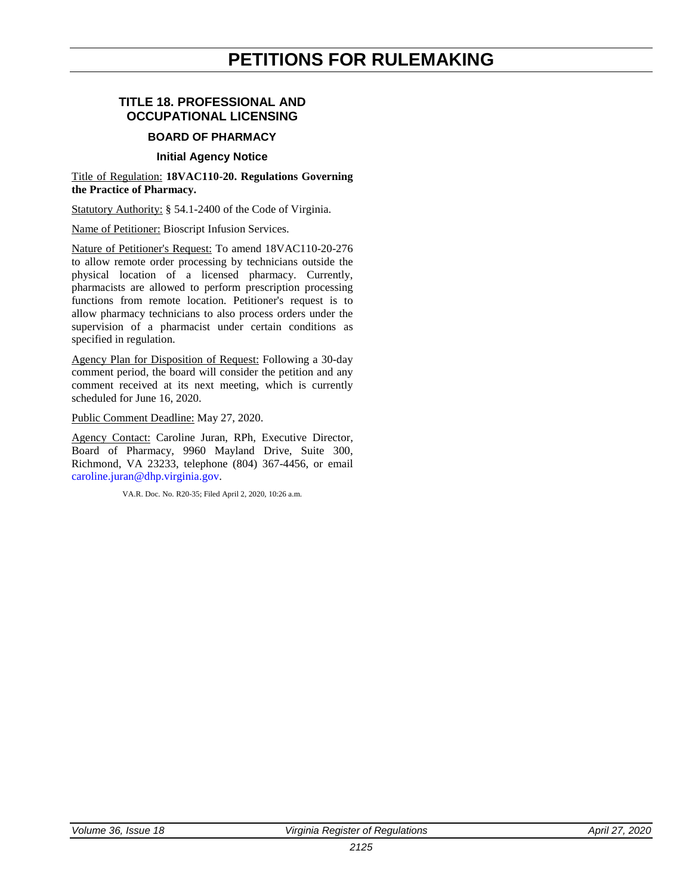### **PETITIONS FOR RULEMAKING**

#### <span id="page-3-0"></span>**TITLE 18. PROFESSIONAL AND OCCUPATIONAL LICENSING**

#### **BOARD OF PHARMACY**

#### **Initial Agency Notice**

#### Title of Regulation: **18VAC110-20. Regulations Governing the Practice of Pharmacy.**

Statutory Authority: § 54.1-2400 of the Code of Virginia.

Name of Petitioner: Bioscript Infusion Services.

Nature of Petitioner's Request: To amend 18VAC110-20-276 to allow remote order processing by technicians outside the physical location of a licensed pharmacy. Currently, pharmacists are allowed to perform prescription processing functions from remote location. Petitioner's request is to allow pharmacy technicians to also process orders under the supervision of a pharmacist under certain conditions as specified in regulation.

Agency Plan for Disposition of Request: Following a 30-day comment period, the board will consider the petition and any comment received at its next meeting, which is currently scheduled for June 16, 2020.

Public Comment Deadline: May 27, 2020.

Agency Contact: Caroline Juran, RPh, Executive Director, Board of Pharmacy, 9960 Mayland Drive, Suite 300, Richmond, VA 23233, telephone (804) 367-4456, or email [caroline.juran@dhp.virginia.gov.](mailto:caroline.juran@dhp.virginia.gov)

VA.R. Doc. No. R20-35; Filed April 2, 2020, 10:26 a.m.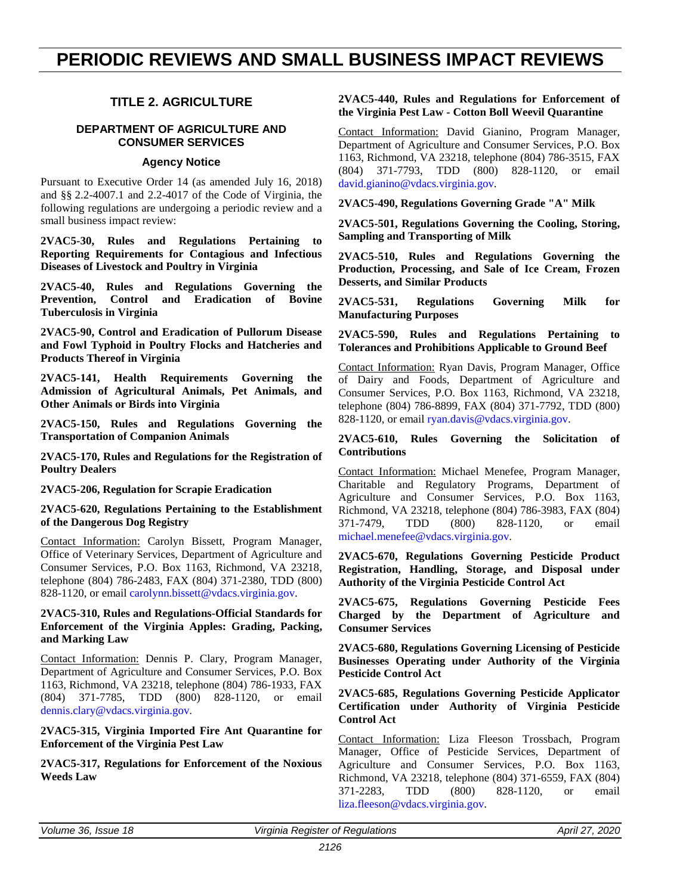### <span id="page-4-0"></span>**PERIODIC REVIEWS AND SMALL BUSINESS IMPACT REVIEWS**

#### **TITLE 2. AGRICULTURE**

#### **DEPARTMENT OF AGRICULTURE AND CONSUMER SERVICES**

#### **Agency Notice**

Pursuant to Executive Order 14 (as amended July 16, 2018) and §§ 2.2-4007.1 and 2.2-4017 of the Code of Virginia, the following regulations are undergoing a periodic review and a small business impact review:

**2VAC5-30, Rules and Regulations Pertaining to Reporting Requirements for Contagious and Infectious Diseases of Livestock and Poultry in Virginia**

**2VAC5-40, Rules and Regulations Governing the Prevention, Control and Eradication of Bovine Tuberculosis in Virginia**

**2VAC5-90, Control and Eradication of Pullorum Disease and Fowl Typhoid in Poultry Flocks and Hatcheries and Products Thereof in Virginia**

**2VAC5-141, Health Requirements Governing the Admission of Agricultural Animals, Pet Animals, and Other Animals or Birds into Virginia**

**2VAC5-150, Rules and Regulations Governing the Transportation of Companion Animals**

**2VAC5-170, Rules and Regulations for the Registration of Poultry Dealers**

**2VAC5-206, Regulation for Scrapie Eradication**

**2VAC5-620, Regulations Pertaining to the Establishment of the Dangerous Dog Registry**

Contact Information: Carolyn Bissett, Program Manager, Office of Veterinary Services, Department of Agriculture and Consumer Services, P.O. Box 1163, Richmond, VA 23218, telephone (804) 786-2483, FAX (804) 371-2380, TDD (800) 828-1120, or email [carolynn.bissett@vdacs.virginia.gov.](mailto:carolynn.bissett@vdacs.virginia.gov)

#### **2VAC5-310, Rules and Regulations-Official Standards for Enforcement of the Virginia Apples: Grading, Packing, and Marking Law**

Contact Information: Dennis P. Clary, Program Manager, Department of Agriculture and Consumer Services, P.O. Box 1163, Richmond, VA 23218, telephone (804) 786-1933, FAX (804) 371-7785, TDD (800) 828-1120, or email [dennis.clary@vdacs.virginia.gov.](mailto:Dennis.Clary@vdacs.virginia.gov)

**2VAC5-315, Virginia Imported Fire Ant Quarantine for Enforcement of the Virginia Pest Law**

**2VAC5-317, Regulations for Enforcement of the Noxious Weeds Law**

#### **2VAC5-440, Rules and Regulations for Enforcement of the Virginia Pest Law - Cotton Boll Weevil Quarantine**

Contact Information: David Gianino, Program Manager, Department of Agriculture and Consumer Services, P.O. Box 1163, Richmond, VA 23218, telephone (804) 786-3515, FAX (804) 371-7793, TDD (800) 828-1120, or email [david.gianino@vdacs.virginia.gov.](mailto:David.Gianino@vdacs.virginia.gov)

**2VAC5-490, Regulations Governing Grade "A" Milk**

**2VAC5-501, Regulations Governing the Cooling, Storing, Sampling and Transporting of Milk**

**2VAC5-510, Rules and Regulations Governing the Production, Processing, and Sale of Ice Cream, Frozen Desserts, and Similar Products**

**2VAC5-531, Regulations Governing Milk for Manufacturing Purposes**

**2VAC5-590, Rules and Regulations Pertaining to Tolerances and Prohibitions Applicable to Ground Beef**

Contact Information: Ryan Davis, Program Manager, Office of Dairy and Foods, Department of Agriculture and Consumer Services, P.O. Box 1163, Richmond, VA 23218, telephone (804) 786-8899, FAX (804) 371-7792, TDD (800) 828-1120, or email [ryan.davis@vdacs.virginia.gov.](mailto:Ryan.Davis@vdacs.virginia.gov)

#### **2VAC5-610, Rules Governing the Solicitation of Contributions**

Contact Information: Michael Menefee, Program Manager, Charitable and Regulatory Programs, Department of Agriculture and Consumer Services, P.O. Box 1163, Richmond, VA 23218, telephone (804) 786-3983, FAX (804) 371-7479, TDD (800) 828-1120, or email [michael.menefee@vdacs.virginia.gov.](mailto:Michael.Menefee@vdacs.virginia.gov)

**2VAC5-670, Regulations Governing Pesticide Product Registration, Handling, Storage, and Disposal under Authority of the Virginia Pesticide Control Act**

**2VAC5-675, Regulations Governing Pesticide Fees Charged by the Department of Agriculture and Consumer Services**

**2VAC5-680, Regulations Governing Licensing of Pesticide Businesses Operating under Authority of the Virginia Pesticide Control Act**

**2VAC5-685, Regulations Governing Pesticide Applicator Certification under Authority of Virginia Pesticide Control Act**

Contact Information: Liza Fleeson Trossbach, Program Manager, Office of Pesticide Services, Department of Agriculture and Consumer Services, P.O. Box 1163, Richmond, VA 23218, telephone (804) 371-6559, FAX (804) 371-2283, TDD (800) 828-1120, or email [liza.fleeson@vdacs.virginia.gov.](mailto:Liza.Fleeson@vdacs.virginia.gov)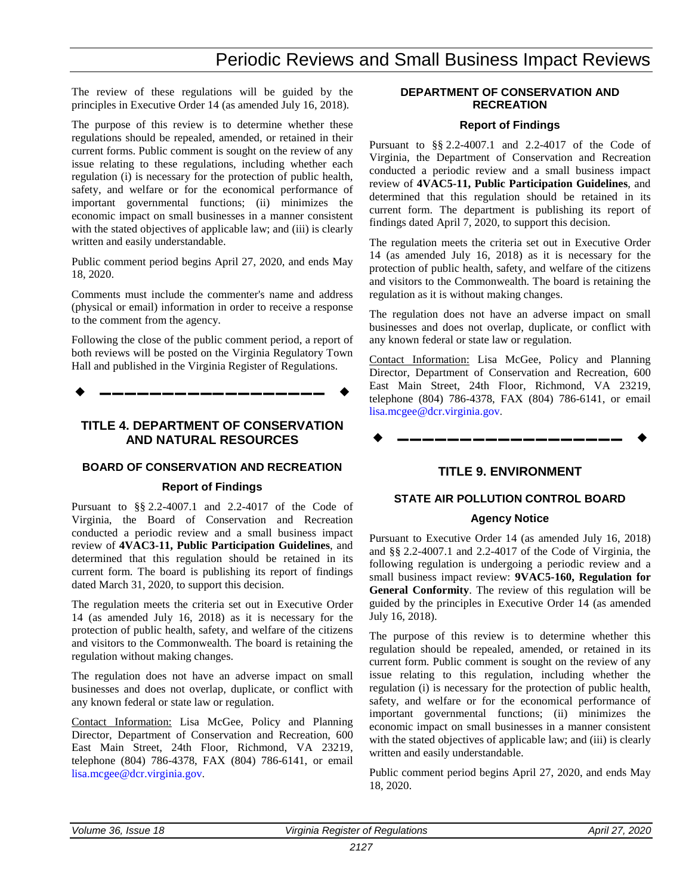### Periodic Reviews and Small Business Impact Reviews

The review of these regulations will be guided by the principles in Executive Order 14 (as amended July 16, 2018).

The purpose of this review is to determine whether these regulations should be repealed, amended, or retained in their current forms. Public comment is sought on the review of any issue relating to these regulations, including whether each regulation (i) is necessary for the protection of public health, safety, and welfare or for the economical performance of important governmental functions; (ii) minimizes the economic impact on small businesses in a manner consistent with the stated objectives of applicable law; and (iii) is clearly written and easily understandable.

Public comment period begins April 27, 2020, and ends May 18, 2020.

Comments must include the commenter's name and address (physical or email) information in order to receive a response to the comment from the agency.

Following the close of the public comment period, a report of both reviews will be posted on the Virginia Regulatory Town Hall and published in the Virginia Register of Regulations.

**––––––––––––––––––**

#### **TITLE 4. DEPARTMENT OF CONSERVATION AND NATURAL RESOURCES**

#### **BOARD OF CONSERVATION AND RECREATION**

#### **Report of Findings**

Pursuant to §§ 2.2-4007.1 and 2.2-4017 of the Code of Virginia, the Board of Conservation and Recreation conducted a periodic review and a small business impact review of **4VAC3-11, Public Participation Guidelines**, and determined that this regulation should be retained in its current form. The board is publishing its report of findings dated March 31, 2020, to support this decision.

The regulation meets the criteria set out in Executive Order 14 (as amended July 16, 2018) as it is necessary for the protection of public health, safety, and welfare of the citizens and visitors to the Commonwealth. The board is retaining the regulation without making changes.

The regulation does not have an adverse impact on small businesses and does not overlap, duplicate, or conflict with any known federal or state law or regulation.

Contact Information: Lisa McGee, Policy and Planning Director, Department of Conservation and Recreation, 600 East Main Street, 24th Floor, Richmond, VA 23219, telephone (804) 786-4378, FAX (804) 786-6141, or email [lisa.mcgee@dcr.virginia.gov.](mailto:lisa.mcgee@dcr.virginia.gov)

#### **DEPARTMENT OF CONSERVATION AND RECREATION**

#### **Report of Findings**

Pursuant to §§ 2.2-4007.1 and 2.2-4017 of the Code of Virginia, the Department of Conservation and Recreation conducted a periodic review and a small business impact review of **4VAC5-11, Public Participation Guidelines**, and determined that this regulation should be retained in its current form. The department is publishing its report of findings dated April 7, 2020, to support this decision.

The regulation meets the criteria set out in Executive Order 14 (as amended July 16, 2018) as it is necessary for the protection of public health, safety, and welfare of the citizens and visitors to the Commonwealth. The board is retaining the regulation as it is without making changes.

The regulation does not have an adverse impact on small businesses and does not overlap, duplicate, or conflict with any known federal or state law or regulation.

Contact Information: Lisa McGee, Policy and Planning Director, Department of Conservation and Recreation, 600 East Main Street, 24th Floor, Richmond, VA 23219, telephone (804) 786-4378, FAX (804) 786-6141, or email [lisa.mcgee@dcr.virginia.gov.](mailto:lisa.mcgee@dcr.virginia.gov)

#### **TITLE 9. ENVIRONMENT**

#### **STATE AIR POLLUTION CONTROL BOARD**

#### **Agency Notice**

Pursuant to Executive Order 14 (as amended July 16, 2018) and §§ 2.2-4007.1 and 2.2-4017 of the Code of Virginia, the following regulation is undergoing a periodic review and a small business impact review: **9VAC5-160, Regulation for General Conformity**. The review of this regulation will be guided by the principles in Executive Order 14 (as amended July 16, 2018).

The purpose of this review is to determine whether this regulation should be repealed, amended, or retained in its current form. Public comment is sought on the review of any issue relating to this regulation, including whether the regulation (i) is necessary for the protection of public health, safety, and welfare or for the economical performance of important governmental functions; (ii) minimizes the economic impact on small businesses in a manner consistent with the stated objectives of applicable law; and (iii) is clearly written and easily understandable.

Public comment period begins April 27, 2020, and ends May 18, 2020.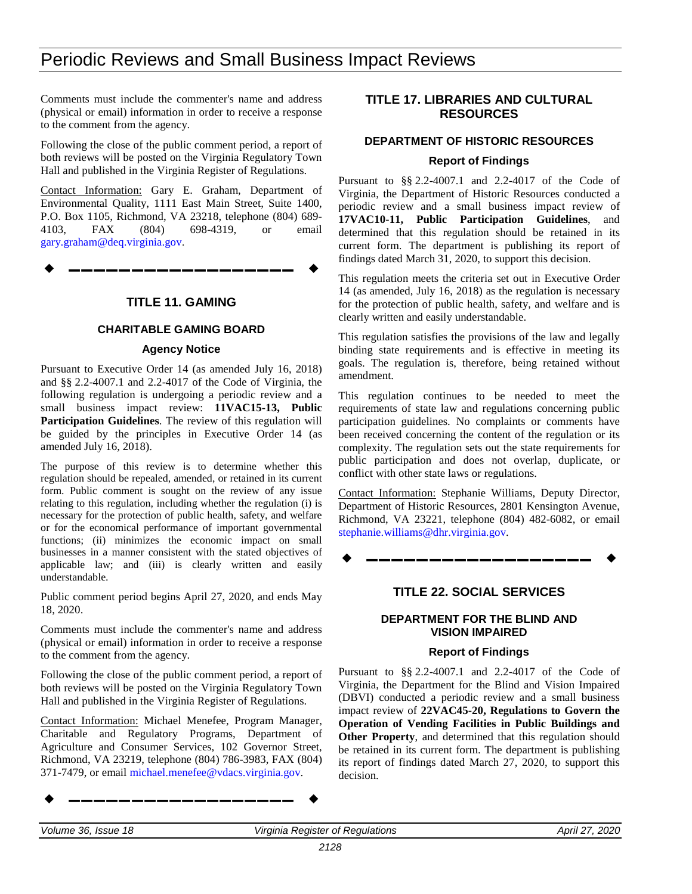### Periodic Reviews and Small Business Impact Reviews

Comments must include the commenter's name and address (physical or email) information in order to receive a response to the comment from the agency.

Following the close of the public comment period, a report of both reviews will be posted on the Virginia Regulatory Town Hall and published in the Virginia Register of Regulations.

Contact Information: Gary E. Graham, Department of Environmental Quality, 1111 East Main Street, Suite 1400, P.O. Box 1105, Richmond, VA 23218, telephone (804) 689- 4103, FAX (804) 698-4319, or email [gary.graham@deq.virginia.gov.](mailto:gary.graham@deq.virginia.gov)

**––––––––––––––––––**

#### **TITLE 11. GAMING**

#### **CHARITABLE GAMING BOARD**

#### **Agency Notice**

Pursuant to Executive Order 14 (as amended July 16, 2018) and §§ 2.2-4007.1 and 2.2-4017 of the Code of Virginia, the following regulation is undergoing a periodic review and a small business impact review: **11VAC15-13, Public Participation Guidelines**. The review of this regulation will be guided by the principles in Executive Order 14 (as amended July 16, 2018).

The purpose of this review is to determine whether this regulation should be repealed, amended, or retained in its current form. Public comment is sought on the review of any issue relating to this regulation, including whether the regulation (i) is necessary for the protection of public health, safety, and welfare or for the economical performance of important governmental functions; (ii) minimizes the economic impact on small businesses in a manner consistent with the stated objectives of applicable law; and (iii) is clearly written and easily understandable.

Public comment period begins April 27, 2020, and ends May 18, 2020.

Comments must include the commenter's name and address (physical or email) information in order to receive a response to the comment from the agency.

Following the close of the public comment period, a report of both reviews will be posted on the Virginia Regulatory Town Hall and published in the Virginia Register of Regulations.

Contact Information: Michael Menefee, Program Manager, Charitable and Regulatory Programs, Department of Agriculture and Consumer Services, 102 Governor Street, Richmond, VA 23219, telephone (804) 786-3983, FAX (804) 371-7479, or email [michael.menefee@vdacs.virginia.gov.](mailto:Michael.Menefee@vdacs.virginia.gov)

**––––––––––––––––––**

#### **TITLE 17. LIBRARIES AND CULTURAL RESOURCES**

#### **DEPARTMENT OF HISTORIC RESOURCES**

#### **Report of Findings**

Pursuant to §§ 2.2-4007.1 and 2.2-4017 of the Code of Virginia, the Department of Historic Resources conducted a periodic review and a small business impact review of **17VAC10-11, Public Participation Guidelines**, and determined that this regulation should be retained in its current form. The department is publishing its report of findings dated March 31, 2020, to support this decision.

This regulation meets the criteria set out in Executive Order 14 (as amended, July 16, 2018) as the regulation is necessary for the protection of public health, safety, and welfare and is clearly written and easily understandable.

This regulation satisfies the provisions of the law and legally binding state requirements and is effective in meeting its goals. The regulation is, therefore, being retained without amendment.

This regulation continues to be needed to meet the requirements of state law and regulations concerning public participation guidelines. No complaints or comments have been received concerning the content of the regulation or its complexity. The regulation sets out the state requirements for public participation and does not overlap, duplicate, or conflict with other state laws or regulations.

Contact Information: Stephanie Williams, Deputy Director, Department of Historic Resources, 2801 Kensington Avenue, Richmond, VA 23221, telephone (804) 482-6082, or email [stephanie.williams@dhr.virginia.gov.](mailto:stephanie.williams@dhr.virginia.gov)

**––––––––––––––––––**

#### **TITLE 22. SOCIAL SERVICES**

#### **DEPARTMENT FOR THE BLIND AND VISION IMPAIRED**

#### **Report of Findings**

Pursuant to §§ 2.2-4007.1 and 2.2-4017 of the Code of Virginia, the Department for the Blind and Vision Impaired (DBVI) conducted a periodic review and a small business impact review of **22VAC45-20, Regulations to Govern the Operation of Vending Facilities in Public Buildings and Other Property**, and determined that this regulation should be retained in its current form. The department is publishing its report of findings dated March 27, 2020, to support this decision.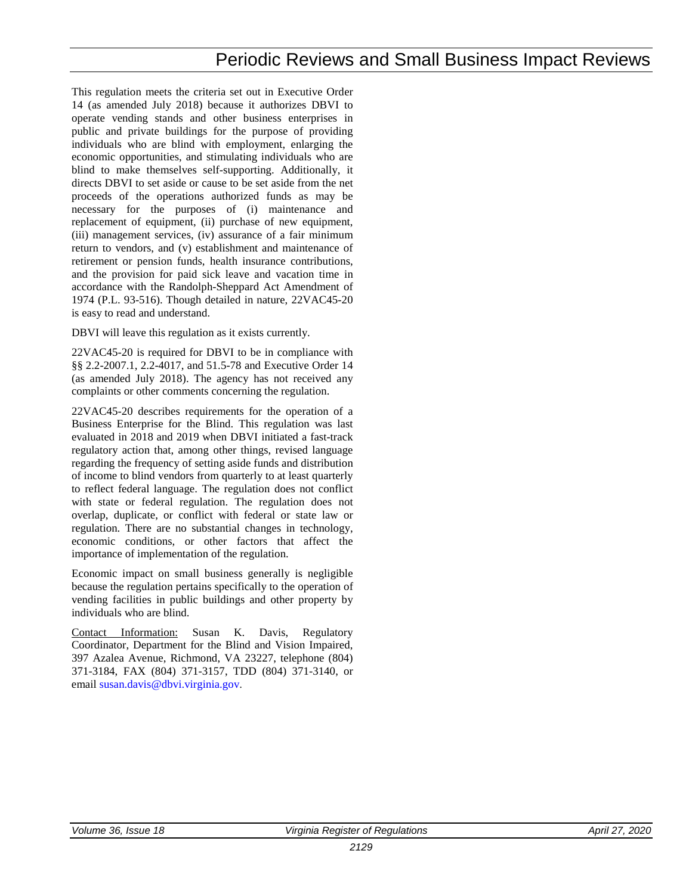This regulation meets the criteria set out in Executive Order 14 (as amended July 2018) because it authorizes DBVI to operate vending stands and other business enterprises in public and private buildings for the purpose of providing individuals who are blind with employment, enlarging the economic opportunities, and stimulating individuals who are blind to make themselves self-supporting. Additionally, it directs DBVI to set aside or cause to be set aside from the net proceeds of the operations authorized funds as may be necessary for the purposes of (i) maintenance and replacement of equipment, (ii) purchase of new equipment, (iii) management services, (iv) assurance of a fair minimum return to vendors, and (v) establishment and maintenance of retirement or pension funds, health insurance contributions, and the provision for paid sick leave and vacation time in accordance with the Randolph-Sheppard Act Amendment of 1974 (P.L. 93-516). Though detailed in nature, 22VAC45-20 is easy to read and understand.

DBVI will leave this regulation as it exists currently.

22VAC45-20 is required for DBVI to be in compliance with §§ 2.2-2007.1, 2.2-4017, and 51.5-78 and Executive Order 14 (as amended July 2018). The agency has not received any complaints or other comments concerning the regulation.

22VAC45-20 describes requirements for the operation of a Business Enterprise for the Blind. This regulation was last evaluated in 2018 and 2019 when DBVI initiated a fast-track regulatory action that, among other things, revised language regarding the frequency of setting aside funds and distribution of income to blind vendors from quarterly to at least quarterly to reflect federal language. The regulation does not conflict with state or federal regulation. The regulation does not overlap, duplicate, or conflict with federal or state law or regulation. There are no substantial changes in technology, economic conditions, or other factors that affect the importance of implementation of the regulation.

Economic impact on small business generally is negligible because the regulation pertains specifically to the operation of vending facilities in public buildings and other property by individuals who are blind.

Contact Information: Susan K. Davis, Regulatory Coordinator, Department for the Blind and Vision Impaired, 397 Azalea Avenue, Richmond, VA 23227, telephone (804) 371-3184, FAX (804) 371-3157, TDD (804) 371-3140, or email [susan.davis@dbvi.virginia.gov.](mailto:susan.davis@DBVI.virginia.gov)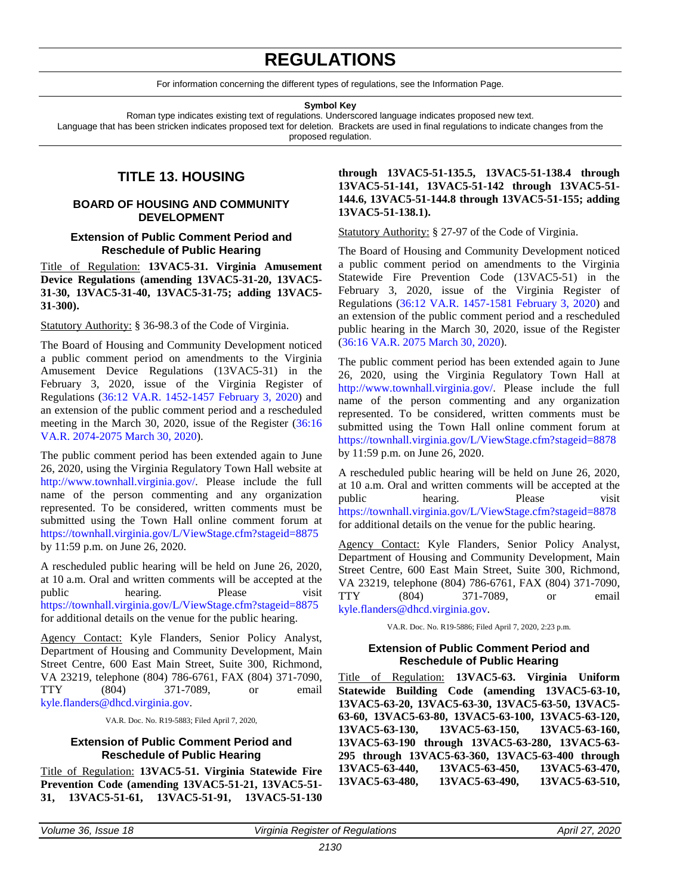### **REGULATIONS**

For information concerning the different types of regulations, see the Information Page.

#### **Symbol Key**

<span id="page-8-0"></span>Roman type indicates existing text of regulations. Underscored language indicates proposed new text. Language that has been stricken indicates proposed text for deletion. Brackets are used in final regulations to indicate changes from the proposed regulation.

#### **TITLE 13. HOUSING**

#### **BOARD OF HOUSING AND COMMUNITY DEVELOPMENT**

#### **Extension of Public Comment Period and Reschedule of Public Hearing**

Title of Regulation: **13VAC5-31. Virginia Amusement Device Regulations (amending 13VAC5-31-20, 13VAC5- 31-30, 13VAC5-31-40, 13VAC5-31-75; adding 13VAC5- 31-300).**

Statutory Authority: § 36-98.3 of the Code of Virginia.

The Board of Housing and Community Development noticed a public comment period on amendments to the Virginia Amusement Device Regulations (13VAC5-31) in the February 3, 2020, issue of the Virginia Register of Regulations [\(36:12 VA.R. 1452-1457 February 3, 2020\)](http://register.dls.virginia.gov/details.aspx?id=7954) and an extension of the public comment period and a rescheduled meeting in the March 30, 2020, issue of the Register [\(36:16](http://register.dls.virginia.gov/details.aspx?id=8003)  [VA.R. 2074-2075 March 30, 2020\)](http://register.dls.virginia.gov/details.aspx?id=8003).

The public comment period has been extended again to June 26, 2020, using the Virginia Regulatory Town Hall website at [http://www.townhall.virginia.gov/.](http://www.townhall.virginia.gov/) Please include the full name of the person commenting and any organization represented. To be considered, written comments must be submitted using the Town Hall online comment forum at <https://townhall.virginia.gov/L/ViewStage.cfm?stageid=8875> by 11:59 p.m. on June 26, 2020.

A rescheduled public hearing will be held on June 26, 2020, at 10 a.m. Oral and written comments will be accepted at the public hearing. Please visit <https://townhall.virginia.gov/L/ViewStage.cfm?stageid=8875> for additional details on the venue for the public hearing.

Agency Contact: Kyle Flanders, Senior Policy Analyst, Department of Housing and Community Development, Main Street Centre, 600 East Main Street, Suite 300, Richmond, VA 23219, telephone (804) 786-6761, FAX (804) 371-7090, TTY (804) 371-7089, or email [kyle.flanders@dhcd.virginia.gov.](mailto:kyle.flanders@dhcd.virginia.gov)

VA.R. Doc. No. R19-5883; Filed April 7, 2020,

#### **Extension of Public Comment Period and Reschedule of Public Hearing**

Title of Regulation: **13VAC5-51. Virginia Statewide Fire Prevention Code (amending 13VAC5-51-21, 13VAC5-51- 31, 13VAC5-51-61, 13VAC5-51-91, 13VAC5-51-130** **through 13VAC5-51-135.5, 13VAC5-51-138.4 through 13VAC5-51-141, 13VAC5-51-142 through 13VAC5-51- 144.6, 13VAC5-51-144.8 through 13VAC5-51-155; adding 13VAC5-51-138.1).**

Statutory Authority: § 27-97 of the Code of Virginia.

The Board of Housing and Community Development noticed a public comment period on amendments to the Virginia Statewide Fire Prevention Code (13VAC5-51) in the February 3, 2020, issue of the Virginia Register of Regulations (36:12 [VA.R. 1457-1581 February 3, 2020\)](http://register.dls.virginia.gov/details.aspx?id=7955) and an extension of the public comment period and a rescheduled public hearing in the March 30, 2020, issue of the Register [\(36:16 VA.R. 2075 March 30,](http://register.dls.virginia.gov/details.aspx?id=8001) 2020).

The public comment period has been extended again to June 26, 2020, using the Virginia Regulatory Town Hall at [http://www.townhall.virginia.gov/.](http://www.townhall.virginia.gov/) Please include the full name of the person commenting and any organization represented. To be considered, written comments must be submitted using the Town Hall online comment forum at <https://townhall.virginia.gov/L/ViewStage.cfm?stageid=8878> by 11:59 p.m. on June 26, 2020.

A rescheduled public hearing will be held on June 26, 2020, at 10 a.m. Oral and written comments will be accepted at the public hearing. Please visit <https://townhall.virginia.gov/L/ViewStage.cfm?stageid=8878> for additional details on the venue for the public hearing.

Agency Contact: Kyle Flanders, Senior Policy Analyst, Department of Housing and Community Development, Main Street Centre, 600 East Main Street, Suite 300, Richmond, VA 23219, telephone (804) 786-6761, FAX (804) 371-7090, TTY (804) 371-7089, or email [kyle.flanders@dhcd.virginia.gov.](mailto:kyle.flanders@dhcd.virginia.gov)

VA.R. Doc. No. R19-5886; Filed April 7, 2020, 2:23 p.m.

#### **Extension of Public Comment Period and Reschedule of Public Hearing**

Title of Regulation: **13VAC5-63. Virginia Uniform Statewide Building Code (amending 13VAC5-63-10, 13VAC5-63-20, 13VAC5-63-30, 13VAC5-63-50, 13VAC5- 63-60, 13VAC5-63-80, 13VAC5-63-100, 13VAC5-63-120, 13VAC5-63-130, 13VAC5-63-150, 13VAC5-63-160, 13VAC5-63-190 through 13VAC5-63-280, 13VAC5-63- 295 through 13VAC5-63-360, 13VAC5-63-400 through 13VAC5-63-440, 13VAC5-63-450, 13VAC5-63-470, 13VAC5-63-480, 13VAC5-63-490, 13VAC5-63-510,**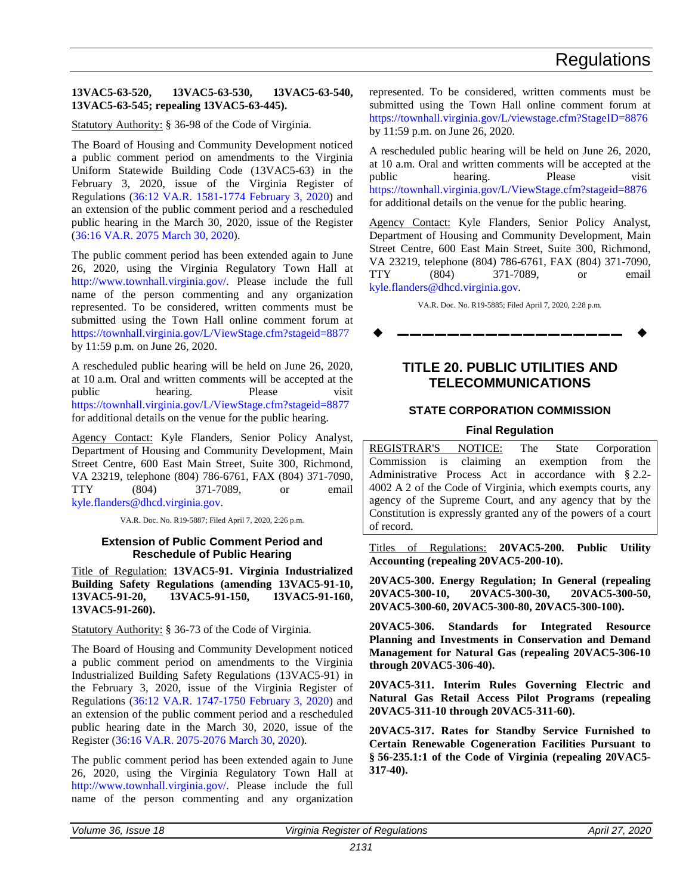#### <span id="page-9-0"></span>**13VAC5-63-520, 13VAC5-63-530, 13VAC5-63-540, 13VAC5-63-545; repealing 13VAC5-63-445).**

Statutory Authority: § 36-98 of the Code of Virginia.

The Board of Housing and Community Development noticed a public comment period on amendments to the Virginia Uniform Statewide Building Code (13VAC5-63) in the February 3, 2020, issue of the Virginia Register of Regulations [\(36:12 VA.R. 1581-1774 February 3, 2020\)](http://register.dls.virginia.gov/details.aspx?id=7956) and an extension of the public comment period and a rescheduled public hearing in the March 30, 2020, issue of the Register [\(36:16 VA.R. 2075 March 30, 2020\)](http://register.dls.virginia.gov/details.aspx?id=8002).

The public comment period has been extended again to June 26, 2020, using the Virginia Regulatory Town Hall at [http://www.townhall.virginia.gov/.](http://www.townhall.virginia.gov/) Please include the full name of the person commenting and any organization represented. To be considered, written comments must be submitted using the Town Hall online comment forum at <https://townhall.virginia.gov/L/ViewStage.cfm?stageid=8877> by 11:59 p.m. on June 26, 2020.

A rescheduled public hearing will be held on June 26, 2020, at 10 a.m. Oral and written comments will be accepted at the public hearing. Please visit <https://townhall.virginia.gov/L/ViewStage.cfm?stageid=8877> for additional details on the venue for the public hearing.

Agency Contact: Kyle Flanders, Senior Policy Analyst, Department of Housing and Community Development, Main Street Centre, 600 East Main Street, Suite 300, Richmond, VA 23219, telephone (804) 786-6761, FAX (804) 371-7090, TTY (804) 371-7089, or email [kyle.flanders@dhcd.virginia.gov.](mailto:kyle.flanders@dhcd.virginia.gov)

VA.R. Doc. No. R19-5887; Filed April 7, 2020, 2:26 p.m.

#### **Extension of Public Comment Period and Reschedule of Public Hearing**

Title of Regulation: **13VAC5-91. Virginia Industrialized Building Safety Regulations (amending 13VAC5-91-10, 13VAC5-91-20, 13VAC5-91-150, 13VAC5-91-160, 13VAC5-91-260).**

Statutory Authority: § 36-73 of the Code of Virginia.

The Board of Housing and Community Development noticed a public comment period on amendments to the Virginia Industrialized Building Safety Regulations (13VAC5-91) in the February 3, 2020, issue of the Virginia Register of Regulations [\(36:12 VA.R. 1747-1750 February 3, 2020\)](http://register.dls.virginia.gov/details.aspx?id=7957) and an extension of the public comment period and a rescheduled public hearing date in the March 30, 2020, issue of the Register [\(36:16 VA.R. 2075-2076 March 30, 2020\)](http://register.dls.virginia.gov/details.aspx?id=8003).

The public comment period has been extended again to June 26, 2020, using the Virginia Regulatory Town Hall at [http://www.townhall.virginia.gov/.](http://www.townhall.virginia.gov/) Please include the full name of the person commenting and any organization

represented. To be considered, written comments must be submitted using the Town Hall online comment forum at <https://townhall.virginia.gov/L/viewstage.cfm?StageID=8876> by 11:59 p.m. on June 26, 2020.

A rescheduled public hearing will be held on June 26, 2020, at 10 a.m. Oral and written comments will be accepted at the public hearing. Please visit <https://townhall.virginia.gov/L/ViewStage.cfm?stageid=8876> for additional details on the venue for the public hearing.

Agency Contact: Kyle Flanders, Senior Policy Analyst, Department of Housing and Community Development, Main Street Centre, 600 East Main Street, Suite 300, Richmond, VA 23219, telephone (804) 786-6761, FAX (804) 371-7090, TTY (804) 371-7089, or email [kyle.flanders@dhcd.virginia.gov.](mailto:kyle.flanders@dhcd.virginia.gov)

VA.R. Doc. No. R19-5885; Filed April 7, 2020, 2:28 p.m.

**––––––––––––––––––**

#### **TITLE 20. PUBLIC UTILITIES AND TELECOMMUNICATIONS**

#### **STATE CORPORATION COMMISSION**

#### **Final Regulation**

REGISTRAR'S NOTICE: The State Corporation Commission is claiming an exemption from the Administrative Process Act in accordance with § 2.2- 4002 A 2 of the Code of Virginia, which exempts courts, any agency of the Supreme Court, and any agency that by the Constitution is expressly granted any of the powers of a court of record.

Titles of Regulations: **20VAC5-200. Public Utility Accounting (repealing 20VAC5-200-10).**

**20VAC5-300. Energy Regulation; In General (repealing 20VAC5-300-10, 20VAC5-300-30, 20VAC5-300-50, 20VAC5-300-60, 20VAC5-300-80, 20VAC5-300-100).**

**20VAC5-306. Standards for Integrated Resource Planning and Investments in Conservation and Demand Management for Natural Gas (repealing 20VAC5-306-10 through 20VAC5-306-40).**

**20VAC5-311. Interim Rules Governing Electric and Natural Gas Retail Access Pilot Programs (repealing 20VAC5-311-10 through 20VAC5-311-60).**

**20VAC5-317. Rates for Standby Service Furnished to Certain Renewable Cogeneration Facilities Pursuant to § 56-235.1:1 of the Code of Virginia (repealing 20VAC5- 317-40).**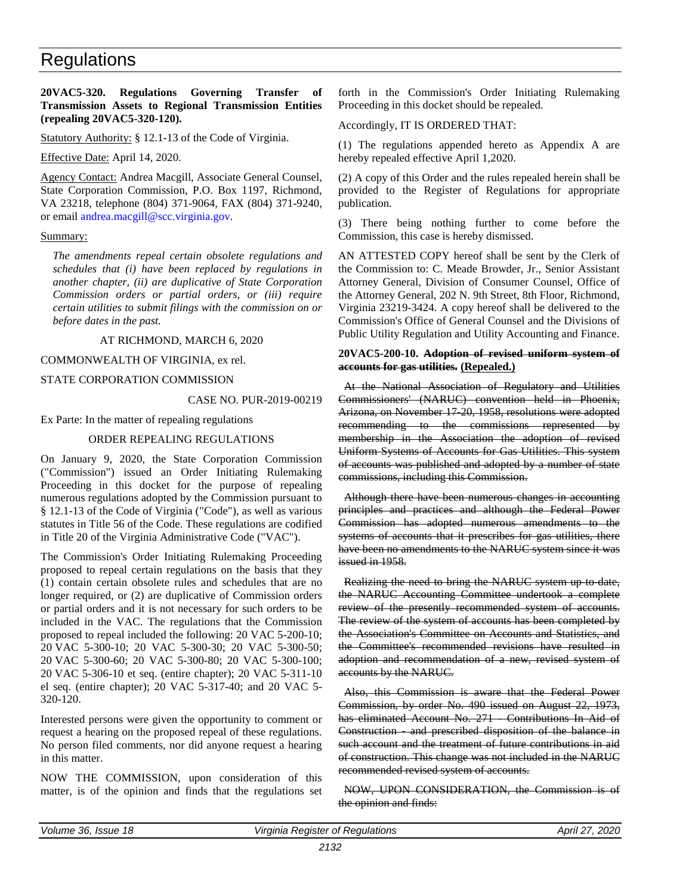#### <span id="page-10-0"></span>**20VAC5-320. Regulations Governing Transfer of Transmission Assets to Regional Transmission Entities (repealing 20VAC5-320-120).**

Statutory Authority: § 12.1-13 of the Code of Virginia.

Effective Date: April 14, 2020.

Agency Contact: Andrea Macgill, Associate General Counsel, State Corporation Commission, P.O. Box 1197, Richmond, VA 23218, telephone (804) 371-9064, FAX (804) 371-9240, or email [andrea.macgill@scc.virginia.gov.](mailto:andrea.macgill@scc.virginia.gov)

#### Summary:

*The amendments repeal certain obsolete regulations and schedules that (i) have been replaced by regulations in another chapter, (ii) are duplicative of State Corporation Commission orders or partial orders, or (iii) require certain utilities to submit filings with the commission on or before dates in the past.*

#### AT RICHMOND, MARCH 6, 2020

#### COMMONWEALTH OF VIRGINIA, ex rel.

#### STATE CORPORATION COMMISSION

CASE NO. PUR-2019-00219

Ex Parte: In the matter of repealing regulations

#### ORDER REPEALING REGULATIONS

On January 9, 2020, the State Corporation Commission ("Commission") issued an Order Initiating Rulemaking Proceeding in this docket for the purpose of repealing numerous regulations adopted by the Commission pursuant to § 12.1-13 of the Code of Virginia ("Code"), as well as various statutes in Title 56 of the Code. These regulations are codified in Title 20 of the Virginia Administrative Code ("VAC").

The Commission's Order Initiating Rulemaking Proceeding proposed to repeal certain regulations on the basis that they (1) contain certain obsolete rules and schedules that are no longer required, or (2) are duplicative of Commission orders or partial orders and it is not necessary for such orders to be included in the VAC. The regulations that the Commission proposed to repeal included the following: 20 VAC 5-200-10; 20 VAC 5-300-10; 20 VAC 5-300-30; 20 VAC 5-300-50; 20 VAC 5-300-60; 20 VAC 5-300-80; 20 VAC 5-300-100; 20 VAC 5-306-10 et seq. (entire chapter); 20 VAC 5-311-10 el seq. (entire chapter); 20 VAC 5-317-40; and 20 VAC 5- 320-120.

Interested persons were given the opportunity to comment or request a hearing on the proposed repeal of these regulations. No person filed comments, nor did anyone request a hearing in this matter.

NOW THE COMMISSION, upon consideration of this matter, is of the opinion and finds that the regulations set

forth in the Commission's Order Initiating Rulemaking Proceeding in this docket should be repealed.

#### Accordingly, IT IS ORDERED THAT:

(1) The regulations appended hereto as Appendix A are hereby repealed effective April 1,2020.

(2) A copy of this Order and the rules repealed herein shall be provided to the Register of Regulations for appropriate publication.

(3) There being nothing further to come before the Commission, this case is hereby dismissed.

AN ATTESTED COPY hereof shall be sent by the Clerk of the Commission to: C. Meade Browder, Jr., Senior Assistant Attorney General, Division of Consumer Counsel, Office of the Attorney General, 202 N. 9th Street, 8th Floor, Richmond, Virginia 23219-3424. A copy hereof shall be delivered to the Commission's Office of General Counsel and the Divisions of Public Utility Regulation and Utility Accounting and Finance.

#### **20VAC5-200-10. Adoption of revised uniform system of accounts for gas utilities. (Repealed.)**

At the National Association of Regulatory and Utilities Commissioners' (NARUC) convention held in Phoenix, Arizona, on November 17-20, 1958, resolutions were adopted recommending to the commissions represented by membership in the Association the adoption of revised Uniform Systems of Accounts for Gas Utilities. This system of accounts was published and adopted by a number of state commissions, including this Commission.

Although there have been numerous changes in accounting principles and practices and although the Federal Power Commission has adopted numerous amendments to the systems of accounts that it prescribes for gas utilities, there have been no amendments to the NARUC system since it was issued in 1958.

Realizing the need to bring the NARUC system up to date, the NARUC Accounting Committee undertook a complete review of the presently recommended system of accounts. The review of the system of accounts has been completed by the Association's Committee on Accounts and Statistics, and the Committee's recommended revisions have resulted in adoption and recommendation of a new, revised system of accounts by the NARUC.

Also, this Commission is aware that the Federal Power Commission, by order No. 490 issued on August 22, 1973, has eliminated Account No. 271 Contributions In Aid of Construction - and prescribed disposition of the balance in such account and the treatment of future contributions in aid of construction. This change was not included in the NARUC recommended revised system of accounts.

NOW, UPON CONSIDERATION, the Commission is of the opinion and finds: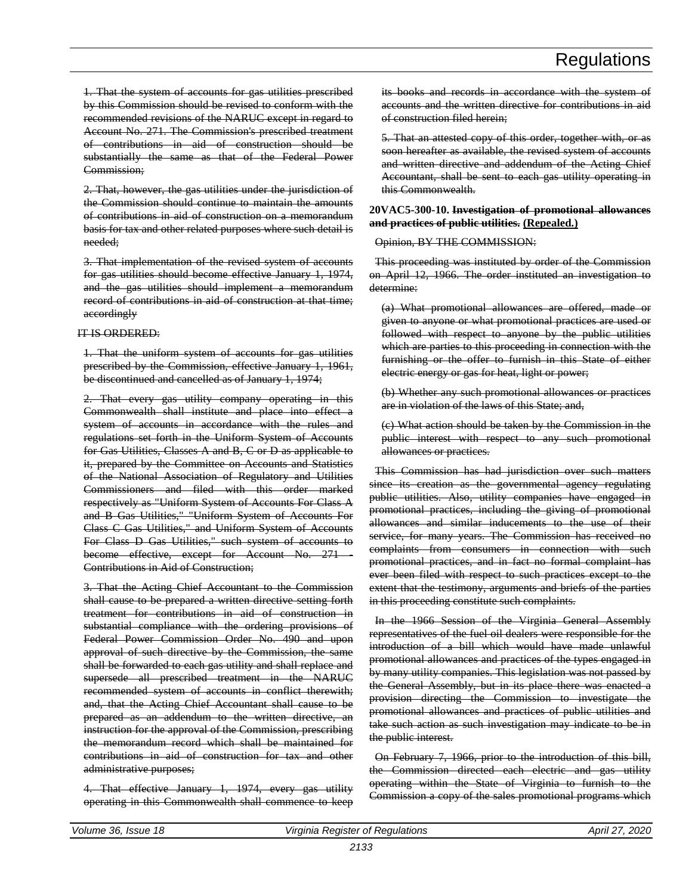1. That the system of accounts for gas utilities prescribed by this Commission should be revised to conform with the recommended revisions of the NARUC except in regard to Account No. 271. The Commission's prescribed treatment of contributions in aid of construction should be substantially the same as that of the Federal Power Commission;

2. That, however, the gas utilities under the jurisdiction of the Commission should continue to maintain the amounts of contributions in aid of construction on a memorandum basis for tax and other related purposes where such detail is needed;

3. That implementation of the revised system of accounts for gas utilities should become effective January 1, 1974, and the gas utilities should implement a memorandum record of contributions in aid of construction at that time; accordingly

#### IT IS ORDERED:

1. That the uniform system of accounts for gas utilities prescribed by the Commission, effective January 1, 1961, be discontinued and cancelled as of January 1, 1974;

2. That every gas utility company operating in this Commonwealth shall institute and place into effect a system of accounts in accordance with the rules and regulations set forth in the Uniform System of Accounts for Gas Utilities, Classes A and B, C or D as applicable to it, prepared by the Committee on Accounts and Statistics of the National Association of Regulatory and Utilities Commissioners and filed with this order marked respectively as "Uniform System of Accounts For Class A and B Gas Utilities," "Uniform System of Accounts For Class C Gas Utilities," and Uniform System of Accounts For Class D Gas Utilities," such system of accounts to become effective, except for Account No. 271 Contributions in Aid of Construction;

3. That the Acting Chief Accountant to the Commission shall cause to be prepared a written directive setting forth treatment for contributions in aid of construction in substantial compliance with the ordering provisions of Federal Power Commission Order No. 490 and upon approval of such directive by the Commission, the same shall be forwarded to each gas utility and shall replace and supersede all prescribed treatment in the NARUC recommended system of accounts in conflict therewith; and, that the Acting Chief Accountant shall cause to be prepared as an addendum to the written directive, an instruction for the approval of the Commission, prescribing the memorandum record which shall be maintained for contributions in aid of construction for tax and other administrative purposes;

4. That effective January 1, 1974, every gas utility operating in this Commonwealth shall commence to keep its books and records in accordance with the system of accounts and the written directive for contributions in aid of construction filed herein;

5. That an attested copy of this order, together with, or as soon hereafter as available, the revised system of accounts and written directive and addendum of the Acting Chief Accountant, shall be sent to each gas utility operating in this Commonwealth.

#### **20VAC5-300-10. Investigation of promotional allowances and practices of public utilities. (Repealed.)**

Opinion, BY THE COMMISSION:

This proceeding was instituted by order of the Commission on April 12, 1966. The order instituted an investigation to determine:

(a) What promotional allowances are offered, made or given to anyone or what promotional practices are used or followed with respect to anyone by the public utilities which are parties to this proceeding in connection with the furnishing or the offer to furnish in this State of either electric energy or gas for heat, light or power;

(b) Whether any such promotional allowances or practices are in violation of the laws of this State; and,

(c) What action should be taken by the Commission in the public interest with respect to any such promotional allowances or practices.

This Commission has had jurisdiction over such matters since its creation as the governmental agency regulating public utilities. Also, utility companies have engaged in promotional practices, including the giving of promotional allowances and similar inducements to the use of their service, for many years. The Commission has received no complaints from consumers in connection with such promotional practices, and in fact no formal complaint has ever been filed with respect to such practices except to the extent that the testimony, arguments and briefs of the parties in this proceeding constitute such complaints.

In the 1966 Session of the Virginia General Assembly representatives of the fuel oil dealers were responsible for the introduction of a bill which would have made unlawful promotional allowances and practices of the types engaged in by many utility companies. This legislation was not passed by the General Assembly, but in its place there was enacted a provision directing the Commission to investigate the promotional allowances and practices of public utilities and take such action as such investigation may indicate to be in the public interest.

On February 7, 1966, prior to the introduction of this bill, the Commission directed each electric and gas utility operating within the State of Virginia to furnish to the Commission a copy of the sales promotional programs which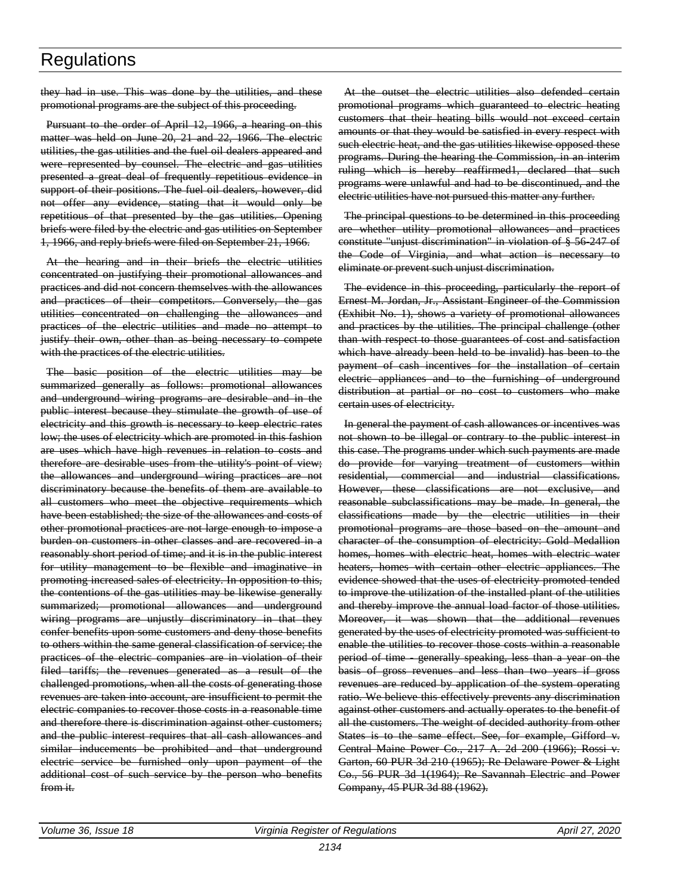they had in use. This was done by the utilities, and these promotional programs are the subject of this proceeding.

Pursuant to the order of April 12, 1966, a hearing on this matter was held on June 20, 21 and 22, 1966. The electric utilities, the gas utilities and the fuel oil dealers appeared and were represented by counsel. The electric and gas utilities presented a great deal of frequently repetitious evidence in support of their positions. The fuel oil dealers, however, did not offer any evidence, stating that it would only be repetitious of that presented by the gas utilities. Opening briefs were filed by the electric and gas utilities on September 1, 1966, and reply briefs were filed on September 21, 1966.

At the hearing and in their briefs the electric utilities concentrated on justifying their promotional allowances and practices and did not concern themselves with the allowances and practices of their competitors. Conversely, the gas utilities concentrated on challenging the allowances and practices of the electric utilities and made no attempt to justify their own, other than as being necessary to compete with the practices of the electric utilities.

The basic position of the electric utilities may be summarized generally as follows: promotional allowances and underground wiring programs are desirable and in the public interest because they stimulate the growth of use of electricity and this growth is necessary to keep electric rates low; the uses of electricity which are promoted in this fashion are uses which have high revenues in relation to costs and therefore are desirable uses from the utility's point of view; the allowances and underground wiring practices are not discriminatory because the benefits of them are available to all customers who meet the objective requirements which have been established; the size of the allowances and costs of other promotional practices are not large enough to impose a burden on customers in other classes and are recovered in a reasonably short period of time; and it is in the public interest for utility management to be flexible and imaginative in promoting increased sales of electricity. In opposition to this, the contentions of the gas utilities may be likewise generally summarized; promotional allowances and underground wiring programs are unjustly discriminatory in that they confer benefits upon some customers and deny those benefits to others within the same general classification of service; the practices of the electric companies are in violation of their filed tariffs; the revenues generated as a result of the challenged promotions, when all the costs of generating those revenues are taken into account, are insufficient to permit the electric companies to recover those costs in a reasonable time and therefore there is discrimination against other customers; and the public interest requires that all cash allowances and similar inducements be prohibited and that underground electric service be furnished only upon payment of the additional cost of such service by the person who benefits from it.

At the outset the electric utilities also defended certain promotional programs which guaranteed to electric heating customers that their heating bills would not exceed certain amounts or that they would be satisfied in every respect with such electric heat, and the gas utilities likewise opposed these programs. During the hearing the Commission, in an interim ruling which is hereby reaffirmed1, declared that such programs were unlawful and had to be discontinued, and the electric utilities have not pursued this matter any further.

The principal questions to be determined in this proceeding are whether utility promotional allowances and practices constitute "unjust discrimination" in violation of § 56-247 of the Code of Virginia, and what action is necessary to eliminate or prevent such unjust discrimination.

The evidence in this proceeding, particularly the report of Ernest M. Jordan, Jr., Assistant Engineer of the Commission (Exhibit No. 1), shows a variety of promotional allowances and practices by the utilities. The principal challenge (other than with respect to those guarantees of cost and satisfaction which have already been held to be invalid) has been to the payment of cash incentives for the installation of certain electric appliances and to the furnishing of underground distribution at partial or no cost to customers who make certain uses of electricity.

In general the payment of cash allowances or incentives was not shown to be illegal or contrary to the public interest in this case. The programs under which such payments are made do provide for varying treatment of customers within residential, commercial and industrial classifications. However, these classifications are not exclusive, and reasonable subclassifications may be made. In general, the classifications made by the electric utilities in their promotional programs are those based on the amount and character of the consumption of electricity: Gold Medallion homes, homes with electric heat, homes with electric water heaters, homes with certain other electric appliances. The evidence showed that the uses of electricity promoted tended to improve the utilization of the installed plant of the utilities and thereby improve the annual load factor of those utilities. Moreover, it was shown that the additional revenues generated by the uses of electricity promoted was sufficient to enable the utilities to recover those costs within a reasonable period of time - generally speaking, less than a year on the basis of gross revenues and less than two years if gross revenues are reduced by application of the system operating ratio. We believe this effectively prevents any discrimination against other customers and actually operates to the benefit of all the customers. The weight of decided authority from other States is to the same effect. See, for example, Gifford v. Central Maine Power Co., 217 A. 2d 200 (1966); Rossi v. Garton, 60 PUR 3d 210 (1965); Re Delaware Power & Light Co., 56 PUR 3d 1(1964); Re Savannah Electric and Power Company, 45 PUR 3d 88 (1962).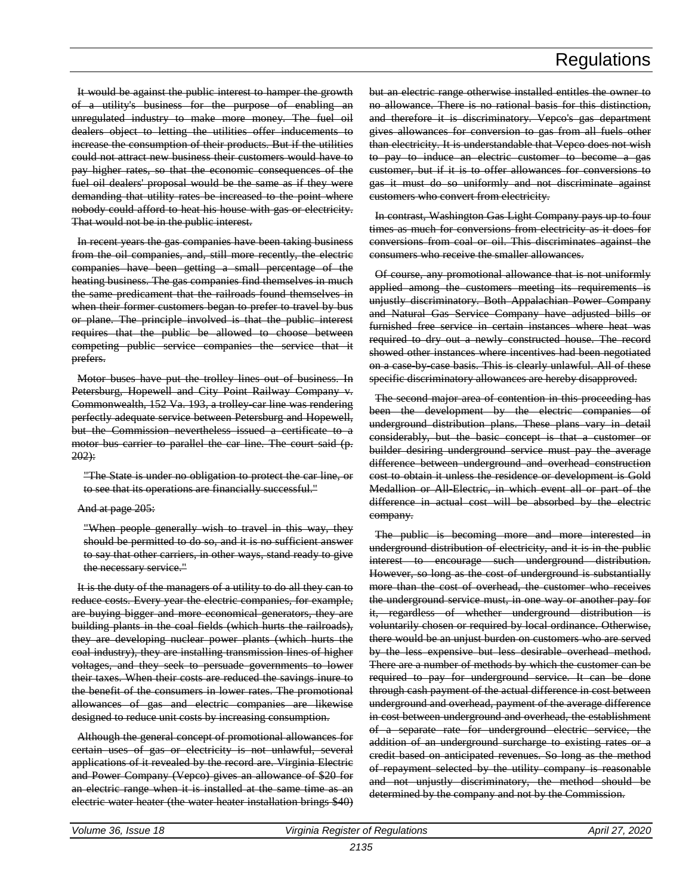It would be against the public interest to hamper the growth of a utility's business for the purpose of enabling an unregulated industry to make more money. The fuel oil dealers object to letting the utilities offer inducements to increase the consumption of their products. But if the utilities could not attract new business their customers would have to pay higher rates, so that the economic consequences of the fuel oil dealers' proposal would be the same as if they were demanding that utility rates be increased to the point where nobody could afford to heat his house with gas or electricity. That would not be in the public interest.

In recent years the gas companies have been taking business from the oil companies, and, still more recently, the electric companies have been getting a small percentage of the heating business. The gas companies find themselves in much the same predicament that the railroads found themselves in when their former customers began to prefer to travel by bus or plane. The principle involved is that the public interest requires that the public be allowed to choose between competing public service companies the service that it prefers.

Motor buses have put the trolley lines out of business. In Petersburg, Hopewell and City Point Railway Company v. Commonwealth, 152 Va. 193, a trolley-car line was rendering perfectly adequate service between Petersburg and Hopewell, but the Commission nevertheless issued a certificate to a motor bus carrier to parallel the car line. The court said (p.  $202$ ):

"The State is under no obligation to protect the car line, or to see that its operations are financially successful."

#### And at page 205:

"When people generally wish to travel in this way, they should be permitted to do so, and it is no sufficient answer to say that other carriers, in other ways, stand ready to give the necessary service."

It is the duty of the managers of a utility to do all they can to reduce costs. Every year the electric companies, for example, are buying bigger and more economical generators, they are building plants in the coal fields (which hurts the railroads), they are developing nuclear power plants (which hurts the coal industry), they are installing transmission lines of higher voltages, and they seek to persuade governments to lower their taxes. When their costs are reduced the savings inure to the benefit of the consumers in lower rates. The promotional allowances of gas and electric companies are likewise designed to reduce unit costs by increasing consumption.

Although the general concept of promotional allowances for certain uses of gas or electricity is not unlawful, several applications of it revealed by the record are. Virginia Electric and Power Company (Vepco) gives an allowance of \$20 for an electric range when it is installed at the same time as an electric water heater (the water heater installation brings \$40) but an electric range otherwise installed entitles the owner to no allowance. There is no rational basis for this distinction, and therefore it is discriminatory. Vepco's gas department gives allowances for conversion to gas from all fuels other than electricity. It is understandable that Vepco does not wish to pay to induce an electric customer to become a gas customer, but if it is to offer allowances for conversions to gas it must do so uniformly and not discriminate against customers who convert from electricity.

In contrast, Washington Gas Light Company pays up to four times as much for conversions from electricity as it does for conversions from coal or oil. This discriminates against the consumers who receive the smaller allowances.

Of course, any promotional allowance that is not uniformly applied among the customers meeting its requirements is unjustly discriminatory. Both Appalachian Power Company and Natural Gas Service Company have adjusted bills or furnished free service in certain instances where heat was required to dry out a newly constructed house. The record showed other instances where incentives had been negotiated on a case by case basis. This is clearly unlawful. All of these specific discriminatory allowances are hereby disapproved.

The second major area of contention in this proceeding has been the development by the electric companies of underground distribution plans. These plans vary in detail considerably, but the basic concept is that a customer or builder desiring underground service must pay the average difference between underground and overhead construction cost to obtain it unless the residence or development is Gold Medallion or All-Electric, in which event all or part of the difference in actual cost will be absorbed by the electric company.

The public is becoming more and more interested in underground distribution of electricity, and it is in the public interest to encourage such underground distribution. However, so long as the cost of underground is substantially more than the cost of overhead, the customer who receives the underground service must, in one way or another pay for it, regardless of whether underground distribution is voluntarily chosen or required by local ordinance. Otherwise, there would be an unjust burden on customers who are served by the less expensive but less desirable overhead method. There are a number of methods by which the customer can be required to pay for underground service. It can be done through cash payment of the actual difference in cost between underground and overhead, payment of the average difference in cost between underground and overhead, the establishment of a separate rate for underground electric service, the addition of an underground surcharge to existing rates or a credit based on anticipated revenues. So long as the method of repayment selected by the utility company is reasonable and not unjustly discriminatory, the method should be determined by the company and not by the Commission.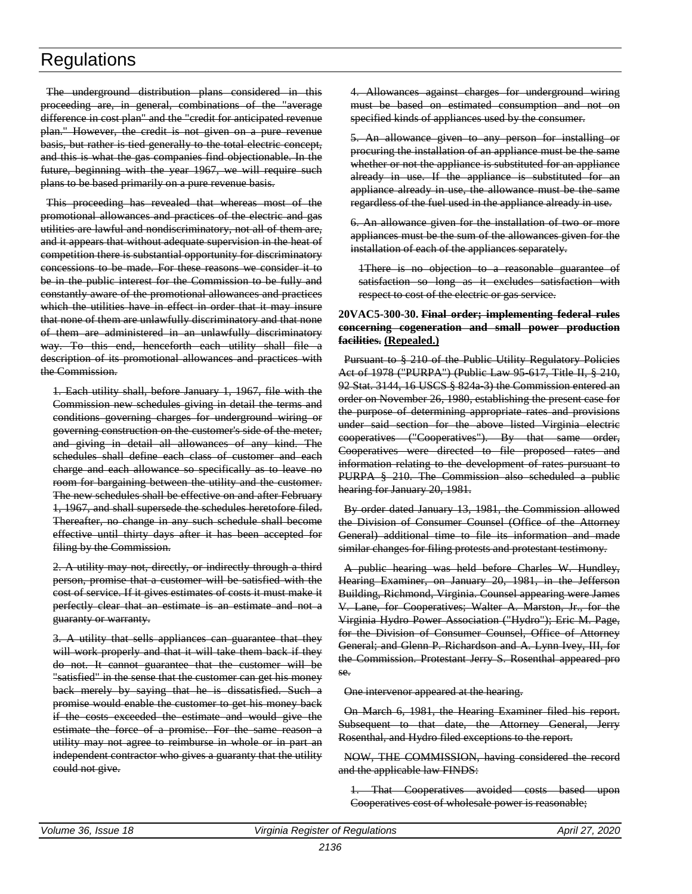The underground distribution plans considered in this proceeding are, in general, combinations of the "average difference in cost plan" and the "credit for anticipated revenue plan." However, the credit is not given on a pure revenue basis, but rather is tied generally to the total electric concept, and this is what the gas companies find objectionable. In the future, beginning with the year 1967, we will require such plans to be based primarily on a pure revenue basis.

This proceeding has revealed that whereas most of the promotional allowances and practices of the electric and gas utilities are lawful and nondiscriminatory, not all of them are, and it appears that without adequate supervision in the heat of competition there is substantial opportunity for discriminatory concessions to be made. For these reasons we consider it to be in the public interest for the Commission to be fully and constantly aware of the promotional allowances and practices which the utilities have in effect in order that it may insure that none of them are unlawfully discriminatory and that none of them are administered in an unlawfully discriminatory way. To this end, henceforth each utility shall file a description of its promotional allowances and practices with the Commission.

1. Each utility shall, before January 1, 1967, file with the Commission new schedules giving in detail the terms and conditions governing charges for underground wiring or governing construction on the customer's side of the meter, and giving in detail all allowances of any kind. The schedules shall define each class of customer and each charge and each allowance so specifically as to leave no room for bargaining between the utility and the customer. The new schedules shall be effective on and after February 1, 1967, and shall supersede the schedules heretofore filed. Thereafter, no change in any such schedule shall become effective until thirty days after it has been accepted for filing by the Commission.

2. A utility may not, directly, or indirectly through a third person, promise that a customer will be satisfied with the cost of service. If it gives estimates of costs it must make it perfectly clear that an estimate is an estimate and not a guaranty or warranty.

3. A utility that sells appliances can guarantee that they will work properly and that it will take them back if they do not. It cannot guarantee that the customer will be "satisfied" in the sense that the customer can get his money back merely by saying that he is dissatisfied. Such a promise would enable the customer to get his money back if the costs exceeded the estimate and would give the estimate the force of a promise. For the same reason a utility may not agree to reimburse in whole or in part an independent contractor who gives a guaranty that the utility could not give.

4. Allowances against charges for underground wiring must be based on estimated consumption and not on specified kinds of appliances used by the consumer.

5. An allowance given to any person for installing or procuring the installation of an appliance must be the same whether or not the appliance is substituted for an appliance already in use. If the appliance is substituted for an appliance already in use, the allowance must be the same regardless of the fuel used in the appliance already in use.

6. An allowance given for the installation of two or more appliances must be the sum of the allowances given for the installation of each of the appliances separately.

1There is no objection to a reasonable guarantee of satisfaction so long as it excludes satisfaction with respect to cost of the electric or gas service.

#### **20VAC5-300-30. Final order; implementing federal rules concerning cogeneration and small power production facilities. (Repealed.)**

Pursuant to § 210 of the Public Utility Regulatory Policies Act of 1978 ("PURPA") (Public Law 95-617, Title II, § 210, 92 Stat. 3144, 16 USCS § 824a 3) the Commission entered an order on November 26, 1980, establishing the present case for the purpose of determining appropriate rates and provisions under said section for the above listed Virginia electric cooperatives ("Cooperatives"). By that same order, Cooperatives were directed to file proposed rates and information relating to the development of rates pursuant to PURPA § 210. The Commission also scheduled a public hearing for January 20, 1981.

By order dated January 13, 1981, the Commission allowed the Division of Consumer Counsel (Office of the Attorney General) additional time to file its information and made similar changes for filing protests and protestant testimony.

A public hearing was held before Charles W. Hundley, Hearing Examiner, on January 20, 1981, in the Jefferson Building, Richmond, Virginia. Counsel appearing were James V. Lane, for Cooperatives; Walter A. Marston, Jr., for the Virginia Hydro Power Association ("Hydro"); Eric M. Page, for the Division of Consumer Counsel, Office of Attorney General; and Glenn P. Richardson and A. Lynn Ivey, III, for the Commission. Protestant Jerry S. Rosenthal appeared pro se.

One intervenor appeared at the hearing.

On March 6, 1981, the Hearing Examiner filed his report. Subsequent to that date, the Attorney General, Jerry Rosenthal, and Hydro filed exceptions to the report.

NOW, THE COMMISSION, having considered the record and the applicable law FINDS:

1. That Cooperatives avoided costs based upon Cooperatives cost of wholesale power is reasonable;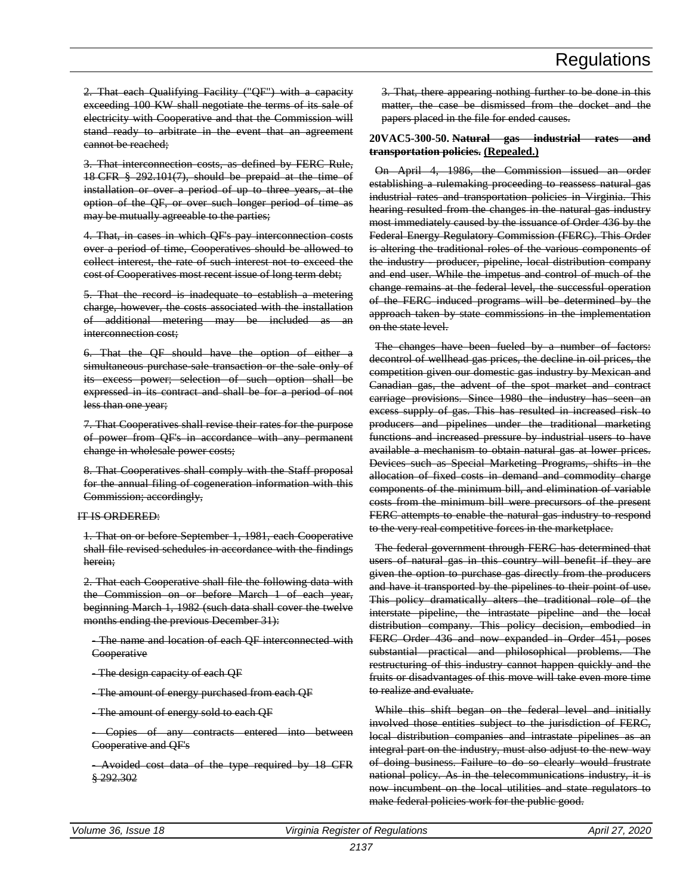2. That each Qualifying Facility ("QF") with a capacity exceeding 100 KW shall negotiate the terms of its sale of electricity with Cooperative and that the Commission will stand ready to arbitrate in the event that an agreement cannot be reached;

3. That interconnection costs, as defined by FERC Rule, 18 CFR § 292.101(7), should be prepaid at the time of installation or over a period of up to three years, at the option of the QF, or over such longer period of time as may be mutually agreeable to the parties;

4. That, in cases in which QF's pay interconnection costs over a period of time, Cooperatives should be allowed to collect interest, the rate of such interest not to exceed the cost of Cooperatives most recent issue of long term debt;

5. That the record is inadequate to establish a metering charge, however, the costs associated with the installation of additional metering may be included as an interconnection cost;

6. That the QF should have the option of either a simultaneous purchase sale transaction or the sale only of its excess power; selection of such option shall be expressed in its contract and shall be for a period of not less than one year;

7. That Cooperatives shall revise their rates for the purpose of power from QF's in accordance with any permanent change in wholesale power costs;

8. That Cooperatives shall comply with the Staff proposal for the annual filing of cogeneration information with this Commission; accordingly,

#### IT IS ORDERED:

1. That on or before September 1, 1981, each Cooperative shall file revised schedules in accordance with the findings herein;

2. That each Cooperative shall file the following data with the Commission on or before March 1 of each year, beginning March 1, 1982 (such data shall cover the twelve months ending the previous December 31):

- The name and location of each QF interconnected with **Cooperative** 

- The design capacity of each QF

- The amount of energy purchased from each QF

- The amount of energy sold to each QF

- Copies of any contracts entered into between Cooperative and QF's

- Avoided cost data of the type required by 18 CFR § 292.302

3. That, there appearing nothing further to be done in this matter, the case be dismissed from the docket and the papers placed in the file for ended causes.

#### **20VAC5-300-50. Natural gas industrial rates and transportation policies. (Repealed.)**

On April 4, 1986, the Commission issued an order establishing a rulemaking proceeding to reassess natural gas industrial rates and transportation policies in Virginia. This hearing resulted from the changes in the natural gas industry most immediately caused by the issuance of Order 436 by the Federal Energy Regulatory Commission (FERC). This Order is altering the traditional roles of the various components of the industry - producer, pipeline, local distribution company and end user. While the impetus and control of much of the change remains at the federal level, the successful operation of the FERC induced programs will be determined by the approach taken by state commissions in the implementation on the state level.

The changes have been fueled by a number of factors: decontrol of wellhead gas prices, the decline in oil prices, the competition given our domestic gas industry by Mexican and Canadian gas, the advent of the spot market and contract carriage provisions. Since 1980 the industry has seen an excess supply of gas. This has resulted in increased risk to producers and pipelines under the traditional marketing functions and increased pressure by industrial users to have available a mechanism to obtain natural gas at lower prices. Devices such as Special Marketing Programs, shifts in the allocation of fixed costs in demand and commodity charge components of the minimum bill, and elimination of variable costs from the minimum bill were precursors of the present FERC attempts to enable the natural gas industry to respond to the very real competitive forces in the marketplace.

The federal government through FERC has determined that users of natural gas in this country will benefit if they are given the option to purchase gas directly from the producers and have it transported by the pipelines to their point of use. This policy dramatically alters the traditional role of the interstate pipeline, the intrastate pipeline and the local distribution company. This policy decision, embodied in FERC Order 436 and now expanded in Order 451, poses substantial practical and philosophical problems. The restructuring of this industry cannot happen quickly and the fruits or disadvantages of this move will take even more time to realize and evaluate.

While this shift began on the federal level and initially involved those entities subject to the jurisdiction of FERC, local distribution companies and intrastate pipelines as an integral part on the industry, must also adjust to the new way of doing business. Failure to do so clearly would frustrate national policy. As in the telecommunications industry, it is now incumbent on the local utilities and state regulators to make federal policies work for the public good.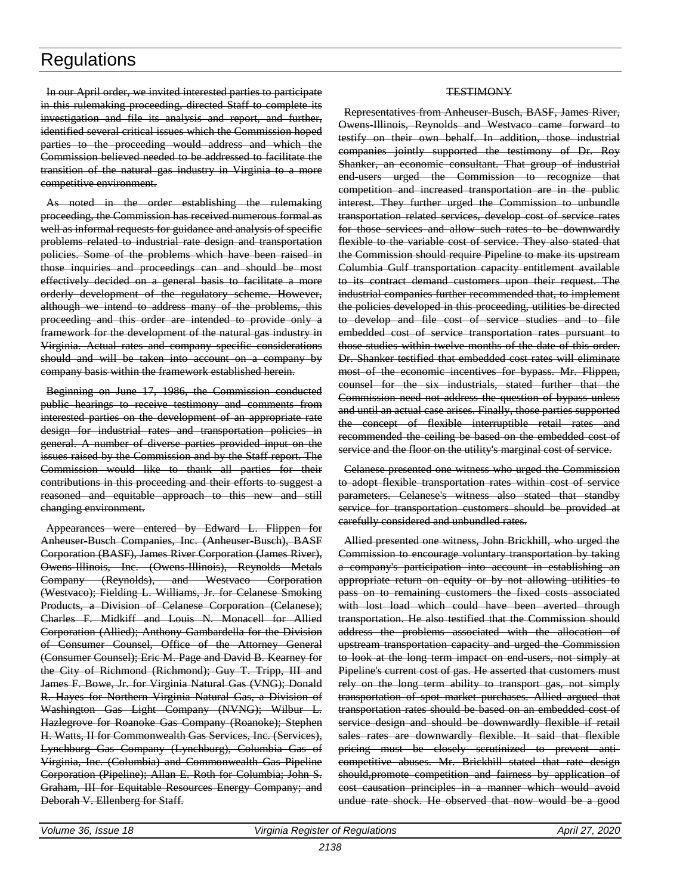In our April order, we invited interested parties to participate in this rulemaking proceeding, directed Staff to complete its investigation and file its analysis and report, and further, identified several critical issues which the Commission hoped parties to the proceeding would address and which the Commission believed needed to be addressed to facilitate the transition of the natural gas industry in Virginia to a more competitive environment.

As noted in the order establishing the rulemaking proceeding, the Commission has received numerous formal as well as informal requests for guidance and analysis of specific problems related to industrial rate design and transportation policies. Some of the problems which have been raised in those inquiries and proceedings can and should be most effectively decided on a general basis to facilitate a more orderly development of the regulatory scheme. However, although we intend to address many of the problems, this proceeding and this order are intended to provide only a framework for the development of the natural gas industry in Virginia. Actual rates and company specific considerations should and will be taken into account on a company by company basis within the framework established herein.

Beginning on June 17, 1986, the Commission conducted public hearings to receive testimony and comments from interested parties on the development of an appropriate rate design for industrial rates and transportation policies in general. A number of diverse parties provided input on the issues raised by the Commission and by the Staff report. The Commission would like to thank all parties for their contributions in this proceeding and their efforts to suggest a reasoned and equitable approach to this new and still changing environment.

Appearances were entered by Edward L. Flippen for Anheuser-Busch Companies, Inc. (Anheuser-Busch), BASF Corporation (BASF), James River Corporation (James River), Owens-Illinois, Inc. (Owens-Illinois), Reynolds Metals Company (Reynolds), and Westvaco Corporation (Westvaco); Fielding L. Williams, Jr. for Celanese Smoking Products, a Division of Celanese Corporation (Celanese); Charles F. Midkiff and Louis N. Monacell for Allied Corporation (Allied); Anthony Gambardella for the Division of Consumer Counsel, Office of the Attorney General (Consumer Counsel); Eric M. Page and David B. Kearney for the City of Richmond (Richmond); Guy T. Tripp, III and James F. Bowe, Jr. for Virginia Natural Gas (VNG); Donald R. Hayes for Northern Virginia Natural Gas, a Division of Washington Gas Light Company (NVNG); Wilbur L. Hazlegrove for Roanoke Gas Company (Roanoke); Stephen H. Watts, II for Commonwealth Gas Services, Inc. (Services), Lynchburg Gas Company (Lynchburg), Columbia Gas of Virginia, Inc. (Columbia) and Commonwealth Gas Pipeline Corporation (Pipeline); Allan E. Roth for Columbia; John S. Graham, III for Equitable Resources Energy Company; and Deborah V. Ellenberg for Staff.

#### **TESTIMONY**

Representatives from Anheuser-Busch, BASF, James River, Owens-Illinois, Reynolds and Westvaco came forward to testify on their own behalf. In addition, those industrial companies jointly supported the testimony of Dr. Roy Shanker, an economic consultant. That group of industrial end-users urged the Commission to recognize that competition and increased transportation are in the public interest. They further urged the Commission to unbundle transportation related services, develop cost of service rates for those services and allow such rates to be downwardly flexible to the variable cost of service. They also stated that the Commission should require Pipeline to make its upstream Columbia Gulf transportation capacity entitlement available to its contract demand customers upon their request. The industrial companies further recommended that, to implement the policies developed in this proceeding, utilities be directed to develop and file cost of service studies and to file embedded cost of service transportation rates pursuant to those studies within twelve months of the date of this order. Dr. Shanker testified that embedded cost rates will eliminate most of the economic incentives for bypass. Mr. Flippen, counsel for the six industrials, stated further that the Commission need not address the question of bypass unless and until an actual case arises. Finally, those parties supported the concept of flexible interruptible retail rates and recommended the ceiling be based on the embedded cost of service and the floor on the utility's marginal cost of service.

Celanese presented one witness who urged the Commission to adopt flexible transportation rates within cost of service parameters. Celanese's witness also stated that standby service for transportation customers should be provided at carefully considered and unbundled rates.

Allied presented one witness, John Brickhill, who urged the Commission to encourage voluntary transportation by taking a company's participation into account in establishing an appropriate return on equity or by not allowing utilities to pass on to remaining customers the fixed costs associated with lost load which could have been averted through transportation. He also testified that the Commission should address the problems associated with the allocation of upstream transportation capacity and urged the Commission to look at the long term impact on end-users, not simply at Pipeline's current cost of gas. He asserted that customers must rely on the long term ability to transport gas, not simply transportation of spot market purchases. Allied argued that transportation rates should be based on an embedded cost of service design and should be downwardly flexible if retail sales rates are downwardly flexible. It said that flexible pricing must be closely scrutinized to prevent anticompetitive abuses. Mr. Brickhill stated that rate design should,promote competition and fairness by application of cost causation principles in a manner which would avoid undue rate shock. He observed that now would be a good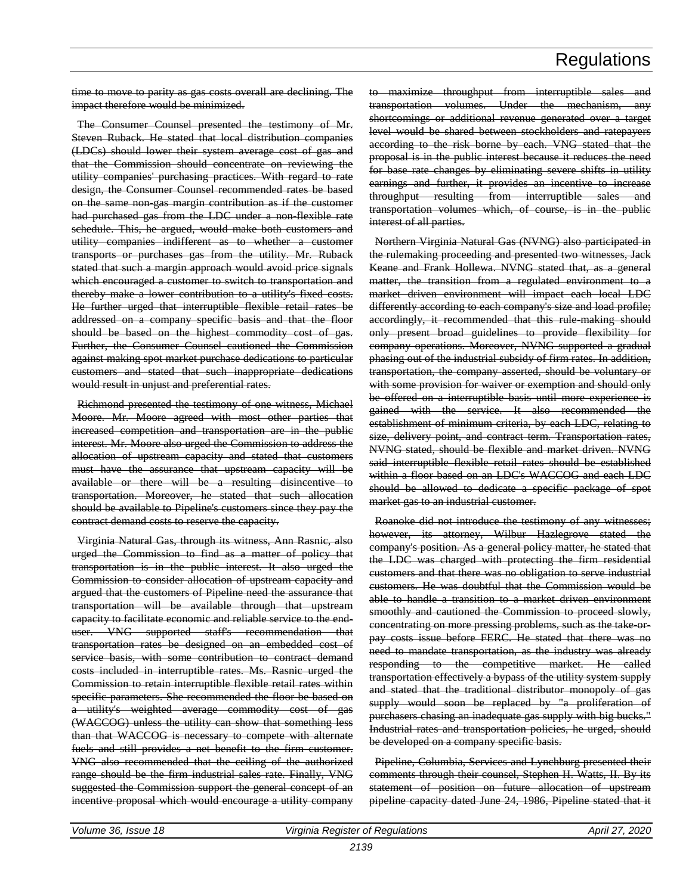time to move to parity as gas costs overall are declining. The impact therefore would be minimized.

The Consumer Counsel presented the testimony of Mr. Steven Ruback. He stated that local distribution companies (LDCs) should lower their system average cost of gas and that the Commission should concentrate on reviewing the utility companies' purchasing practices. With regard to rate design, the Consumer Counsel recommended rates be based on the same non-gas margin contribution as if the customer had purchased gas from the LDC under a non-flexible rate schedule. This, he argued, would make both customers and utility companies indifferent as to whether a customer transports or purchases gas from the utility. Mr. Ruback stated that such a margin approach would avoid price signals which encouraged a customer to switch to transportation and thereby make a lower contribution to a utility's fixed costs. He further urged that interruptible flexible retail rates be addressed on a company specific basis and that the floor should be based on the highest commodity cost of gas. Further, the Consumer Counsel cautioned the Commission against making spot market purchase dedications to particular customers and stated that such inappropriate dedications would result in unjust and preferential rates.

Richmond presented the testimony of one witness, Michael Moore. Mr. Moore agreed with most other parties that increased competition and transportation are in the public interest. Mr. Moore also urged the Commission to address the allocation of upstream capacity and stated that customers must have the assurance that upstream capacity will be available or there will be a resulting disincentive to transportation. Moreover, he stated that such allocation should be available to Pipeline's customers since they pay the contract demand costs to reserve the capacity.

Virginia Natural Gas, through its witness, Ann Rasnic, also urged the Commission to find as a matter of policy that transportation is in the public interest. It also urged the Commission to consider allocation of upstream capacity and argued that the customers of Pipeline need the assurance that transportation will be available through that upstream capacity to facilitate economic and reliable service to the enduser. VNG supported staff's recommendation that transportation rates be designed on an embedded cost of service basis, with some contribution to contract demand costs included in interruptible rates. Ms. Rasnic urged the Commission to retain interruptible flexible retail rates within specific parameters. She recommended the floor be based on a utility's weighted average commodity cost of gas (WACCOG) unless the utility can show that something less than that WACCOG is necessary to compete with alternate fuels and still provides a net benefit to the firm customer. VNG also recommended that the ceiling of the authorized range should be the firm industrial sales rate. Finally, VNG suggested the Commission support the general concept of an incentive proposal which would encourage a utility company

to maximize throughput from interruptible sales and transportation volumes. Under the mechanism, any shortcomings or additional revenue generated over a target level would be shared between stockholders and ratepayers according to the risk borne by each. VNG stated that the proposal is in the public interest because it reduces the need for base rate changes by eliminating severe shifts in utility earnings and further, it provides an incentive to increase throughput resulting from interruptible sales and transportation volumes which, of course, is in the public interest of all parties.

Northern Virginia Natural Gas (NVNG) also participated in the rulemaking proceeding and presented two witnesses, Jack Keane and Frank Hollewa. NVNG stated that, as a general matter, the transition from a regulated environment to a market driven environment will impact each local LDC differently according to each company's size and load profile; accordingly, it recommended that this rule-making should only present broad guidelines to provide flexibility for company operations. Moreover, NVNG supported a gradual phasing out of the industrial subsidy of firm rates. In addition, transportation, the company asserted, should be voluntary or with some provision for waiver or exemption and should only be offered on a interruptible basis until more experience is gained with the service. It also recommended the establishment of minimum criteria, by each LDC, relating to size, delivery point, and contract term. Transportation rates, NVNG stated, should be flexible and market driven. NVNG said interruptible flexible retail rates should be established within a floor based on an LDC's WACCOG and each LDC should be allowed to dedicate a specific package of spot market gas to an industrial customer.

Roanoke did not introduce the testimony of any witnesses; however, its attorney, Wilbur Hazlegrove stated the company's position. As a general policy matter, he stated that the LDC was charged with protecting the firm residential customers and that there was no obligation to serve industrial customers. He was doubtful that the Commission would be able to handle a transition to a market driven environment smoothly and cautioned the Commission to proceed slowly, concentrating on more pressing problems, such as the take orpay costs issue before FERC. He stated that there was no need to mandate transportation, as the industry was already responding to the competitive market. He called transportation effectively a bypass of the utility system supply and stated that the traditional distributor monopoly of gas supply would soon be replaced by "a proliferation of purchasers chasing an inadequate gas supply with big bucks." Industrial rates and transportation policies, he urged, should be developed on a company specific basis.

Pipeline, Columbia, Services and Lynchburg presented their comments through their counsel, Stephen H. Watts, II. By its statement of position on future allocation of upstream pipeline capacity dated June 24, 1986, Pipeline stated that it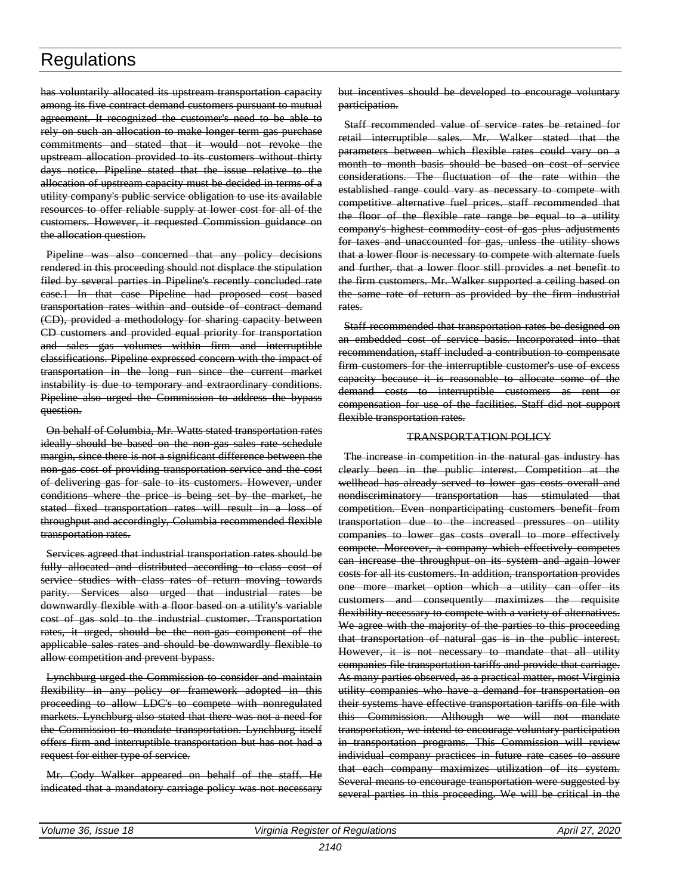has voluntarily allocated its upstream transportation capacity among its five contract demand customers pursuant to mutual agreement. It recognized the customer's need to be able to rely on such an allocation to make longer term gas purchase commitments and stated that it would not revoke the upstream allocation provided to its customers without thirty days notice. Pipeline stated that the issue relative to the allocation of upstream capacity must be decided in terms of a utility company's public service obligation to use its available resources to offer reliable supply at lower cost for all of the customers. However, it requested Commission guidance on the allocation question.

Pipeline was also concerned that any policy decisions rendered in this proceeding should not displace the stipulation filed by several parties in Pipeline's recently concluded rate case.1 In that case Pipeline had proposed cost based transportation rates within and outside of contract demand (CD), provided a methodology for sharing capacity between CD customers and provided equal priority for transportation and sales gas volumes within firm and interruptible classifications. Pipeline expressed concern with the impact of transportation in the long run since the current market instability is due to temporary and extraordinary conditions. Pipeline also urged the Commission to address the bypass question.

On behalf of Columbia, Mr. Watts stated transportation rates ideally should be based on the non-gas sales rate schedule margin, since there is not a significant difference between the non-gas cost of providing transportation service and the cost of delivering gas for sale to its customers. However, under conditions where the price is being set by the market, he stated fixed transportation rates will result in a loss of throughput and accordingly, Columbia recommended flexible transportation rates.

Services agreed that industrial transportation rates should be fully allocated and distributed according to class cost of service studies with class rates of return moving towards parity. Services also urged that industrial rates be downwardly flexible with a floor based on a utility's variable cost of gas sold to the industrial customer. Transportation rates, it urged, should be the non-gas component of the applicable sales rates and should be downwardly flexible to allow competition and prevent bypass.

Lynchburg urged the Commission to consider and maintain flexibility in any policy or framework adopted in this proceeding to allow LDC's to compete with nonregulated markets. Lynchburg also stated that there was not a need for the Commission to mandate transportation. Lynchburg itself offers firm and interruptible transportation but has not had a request for either type of service.

Mr. Cody Walker appeared on behalf of the staff. He indicated that a mandatory carriage policy was not necessary

but incentives should be developed to encourage voluntary participation.

Staff recommended value of service rates be retained for retail interruptible sales. Mr. Walker stated that the parameters between which flexible rates could vary on a month to month basis should be based on cost of service considerations. The fluctuation of the rate within the established range could vary as necessary to compete with competitive alternative fuel prices. staff recommended that the floor of the flexible rate range be equal to a utility company's highest commodity cost of gas plus adjustments for taxes and unaccounted for gas, unless the utility shows that a lower floor is necessary to compete with alternate fuels and further, that a lower floor still provides a net benefit to the firm customers. Mr. Walker supported a ceiling based on the same rate of return as provided by the firm industrial rates.

Staff recommended that transportation rates be designed on an embedded cost of service basis. Incorporated into that recommendation, staff included a contribution to compensate firm customers for the interruptible customer's use of excess capacity because it is reasonable to allocate some of the demand costs to interruptible customers as rent or compensation for use of the facilities. Staff did not support flexible transportation rates.

#### TRANSPORTATION POLICY

The increase in competition in the natural gas industry has clearly been in the public interest. Competition at the wellhead has already served to lower gas costs overall and nondiscriminatory transportation has stimulated that competition. Even nonparticipating customers benefit from transportation due to the increased pressures on utility companies to lower gas costs overall to more effectively compete. Moreover, a company which effectively competes can increase the throughput on its system and again lower costs for all its customers. In addition, transportation provides one more market option which a utility can offer its customers and consequently maximizes the requisite flexibility necessary to compete with a variety of alternatives. We agree with the majority of the parties to this proceeding that transportation of natural gas is in the public interest. However, it is not necessary to mandate that all utility companies file transportation tariffs and provide that carriage. As many parties observed, as a practical matter, most Virginia utility companies who have a demand for transportation on their systems have effective transportation tariffs on file with this Commission. Although we will not mandate transportation, we intend to encourage voluntary participation in transportation programs. This Commission will review individual company practices in future rate cases to assure that each company maximizes utilization of its system. Several means to encourage transportation were suggested by several parties in this proceeding. We will be critical in the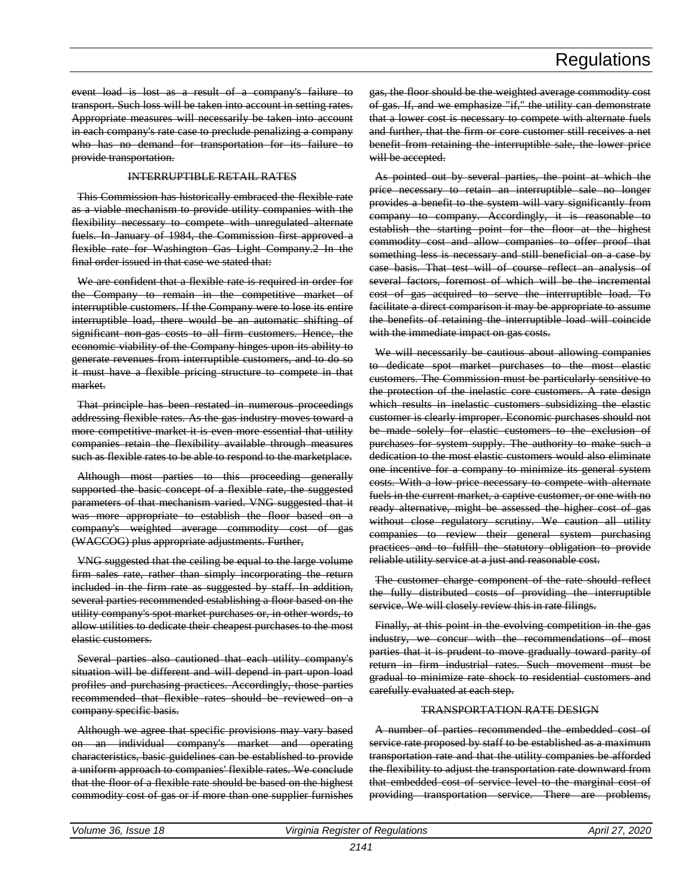event load is lost as a result of a company's failure to transport. Such loss will be taken into account in setting rates. Appropriate measures will necessarily be taken into account in each company's rate case to preclude penalizing a company who has no demand for transportation for its failure to provide transportation.

#### INTERRUPTIBLE RETAIL RATES

This Commission has historically embraced the flexible rate as a viable mechanism to provide utility companies with the flexibility necessary to compete with unregulated alternate fuels. In January of 1984, the Commission first approved a flexible rate for Washington Gas Light Company.2 In the final order issued in that case we stated that:

We are confident that a flexible rate is required in order for the Company to remain in the competitive market of interruptible customers. If the Company were to lose its entire interruptible load, there would be an automatic shifting of significant non-gas costs to all firm customers. Hence, the economic viability of the Company hinges upon its ability to generate revenues from interruptible customers, and to do so it must have a flexible pricing structure to compete in that market.

That principle has been restated in numerous proceedings addressing flexible rates. As the gas industry moves toward a more competitive market it is even more essential that utility companies retain the flexibility available through measures such as flexible rates to be able to respond to the marketplace.

Although most parties to this proceeding generally supported the basic concept of a flexible rate, the suggested parameters of that mechanism varied. VNG suggested that it was more appropriate to establish the floor based on a company's weighted average commodity cost of gas (WACCOG) plus appropriate adjustments. Further,

VNG suggested that the ceiling be equal to the large volume firm sales rate, rather than simply incorporating the return included in the firm rate as suggested by staff. In addition, several parties recommended establishing a floor based on the utility company's spot market purchases or, in other words, to allow utilities to dedicate their cheapest purchases to the most elastic customers.

Several parties also cautioned that each utility company's situation will be different and will depend in part upon load profiles and purchasing practices. Accordingly, those parties recommended that flexible rates should be reviewed on a company specific basis.

Although we agree that specific provisions may vary based on an individual company's market and operating characteristics, basic guidelines can be established to provide a uniform approach to companies' flexible rates. We conclude that the floor of a flexible rate should be based on the highest commodity cost of gas or if more than one supplier furnishes

gas, the floor should be the weighted average commodity cost of gas. If, and we emphasize "if," the utility can demonstrate that a lower cost is necessary to compete with alternate fuels and further, that the firm or core customer still receives a net benefit from retaining the interruptible sale, the lower price will be accepted.

As pointed out by several parties, the point at which the price necessary to retain an interruptible sale no longer provides a benefit to the system will vary significantly from company to company. Accordingly, it is reasonable to establish the starting point for the floor at the highest commodity cost and allow companies to offer proof that something less is necessary and still beneficial on a case by case basis. That test will of course reflect an analysis of several factors, foremost of which will be the incremental cost of gas acquired to serve the interruptible load. To facilitate a direct comparison it may be appropriate to assume the benefits of retaining the interruptible load will coincide with the immediate impact on gas costs.

We will necessarily be cautious about allowing companies to dedicate spot market purchases to the most elastic customers. The Commission must be particularly sensitive to the protection of the inelastic core customers. A rate design which results in inelastic customers subsidizing the elastic customer is clearly improper. Economic purchases should not be made solely for elastic customers to the exclusion of purchases for system supply. The authority to make such a dedication to the most elastic customers would also eliminate one incentive for a company to minimize its general system costs. With a low price necessary to compete with alternate fuels in the current market, a captive customer, or one with no ready alternative, might be assessed the higher cost of gas without close regulatory scrutiny. We caution all utility companies to review their general system purchasing practices and to fulfill the statutory obligation to provide reliable utility service at a just and reasonable cost.

The customer charge component of the rate should reflect the fully distributed costs of providing the interruptible service. We will closely review this in rate filings.

Finally, at this point in the evolving competition in the gas industry, we concur with the recommendations of most parties that it is prudent to move gradually toward parity of return in firm industrial rates. Such movement must be gradual to minimize rate shock to residential customers and carefully evaluated at each step.

#### TRANSPORTATION RATE DESIGN

A number of parties recommended the embedded cost of service rate proposed by staff to be established as a maximum transportation rate and that the utility companies be afforded the flexibility to adjust the transportation rate downward from that embedded cost of service level to the marginal cost of providing transportation service. There are problems,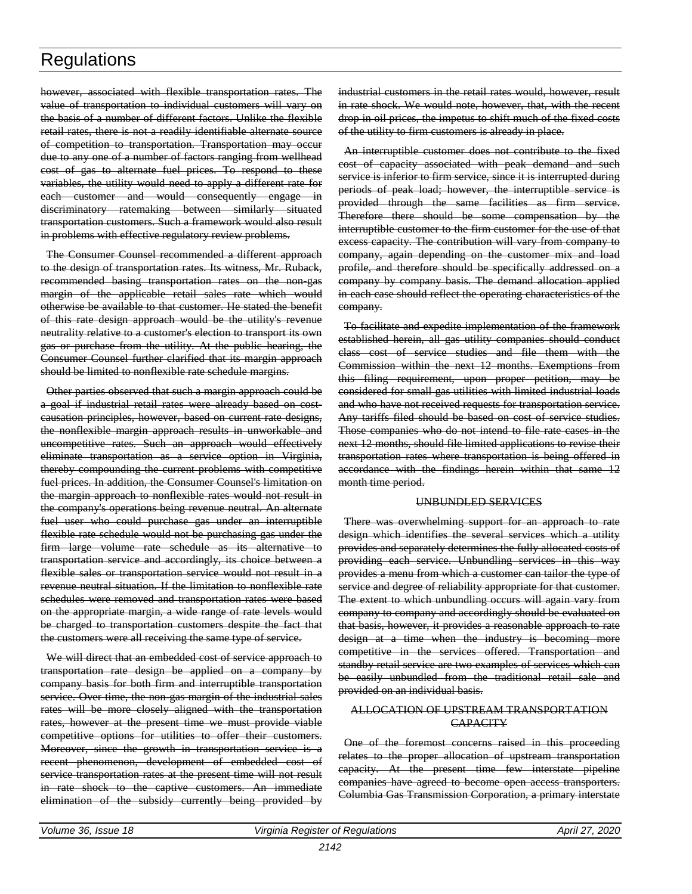however, associated with flexible transportation rates. The value of transportation to individual customers will vary on the basis of a number of different factors. Unlike the flexible retail rates, there is not a readily identifiable alternate source of competition to transportation. Transportation may occur due to any one of a number of factors ranging from wellhead cost of gas to alternate fuel prices. To respond to these variables, the utility would need to apply a different rate for each customer and would consequently engage in discriminatory ratemaking between similarly situated transportation customers. Such a framework would also result in problems with effective regulatory review problems.

The Consumer Counsel recommended a different approach to the design of transportation rates. Its witness, Mr. Ruback, recommended basing transportation rates on the non-gas margin of the applicable retail sales rate which would otherwise be available to that customer. He stated the benefit of this rate design approach would be the utility's revenue neutrality relative to a customer's election to transport its own gas or purchase from the utility. At the public hearing, the Consumer Counsel further clarified that its margin approach should be limited to nonflexible rate schedule margins.

Other parties observed that such a margin approach could be a goal if industrial retail rates were already based on costcausation principles, however, based on current rate designs, the nonflexible margin approach results in unworkable and uncompetitive rates. Such an approach would effectively eliminate transportation as a service option in Virginia, thereby compounding the current problems with competitive fuel prices. In addition, the Consumer Counsel's limitation on the margin approach to nonflexible rates would not result in the company's operations being revenue neutral. An alternate fuel user who could purchase gas under an interruptible flexible rate schedule would not be purchasing gas under the firm large volume rate schedule as its alternative to transportation service and accordingly, its choice between a flexible sales or transportation service would not result in a revenue neutral situation. If the limitation to nonflexible rate schedules were removed and transportation rates were based on the appropriate margin, a wide range of rate levels would be charged to transportation customers despite the fact that the customers were all receiving the same type of service.

We will direct that an embedded cost of service approach to transportation rate design be applied on a company by company basis for both firm and interruptible transportation service. Over time, the non-gas margin of the industrial sales rates will be more closely aligned with the transportation rates, however at the present time we must provide viable competitive options for utilities to offer their customers. Moreover, since the growth in transportation service is a recent phenomenon, development of embedded cost of service transportation rates at the present time will not result in rate shock to the captive customers. An immediate elimination of the subsidy currently being provided by

industrial customers in the retail rates would, however, result in rate shock. We would note, however, that, with the recent drop in oil prices, the impetus to shift much of the fixed costs of the utility to firm customers is already in place.

An interruptible customer does not contribute to the fixed cost of capacity associated with peak demand and such service is inferior to firm service, since it is interrupted during periods of peak load; however, the interruptible service is provided through the same facilities as firm service. Therefore there should be some compensation by the interruptible customer to the firm customer for the use of that excess capacity. The contribution will vary from company to company, again depending on the customer mix and load profile, and therefore should be specifically addressed on a company by company basis. The demand allocation applied in each case should reflect the operating characteristics of the company.

To facilitate and expedite implementation of the framework established herein, all gas utility companies should conduct class cost of service studies and file them with the Commission within the next 12 months. Exemptions from this filing requirement, upon proper petition, may be considered for small gas utilities with limited industrial loads and who have not received requests for transportation service. Any tariffs filed should be based on cost of service studies. Those companies who do not intend to file rate cases in the next 12 months, should file limited applications to revise their transportation rates where transportation is being offered in accordance with the findings herein within that same 12 month time period.

#### UNBUNDLED SERVICES

There was overwhelming support for an approach to rate design which identifies the several services which a utility provides and separately determines the fully allocated costs of providing each service. Unbundling services in this way provides a menu from which a customer can tailor the type of service and degree of reliability appropriate for that customer. The extent to which unbundling occurs will again vary from company to company and accordingly should be evaluated on that basis, however, it provides a reasonable approach to rate design at a time when the industry is becoming more competitive in the services offered. Transportation and standby retail service are two examples of services which can be easily unbundled from the traditional retail sale and provided on an individual basis.

#### ALLOCATION OF UPSTREAM TRANSPORTATION **CAPACITY**

One of the foremost concerns raised in this proceeding relates to the proper allocation of upstream transportation capacity. At the present time few interstate pipeline companies have agreed to become open access transporters. Columbia Gas Transmission Corporation, a primary interstate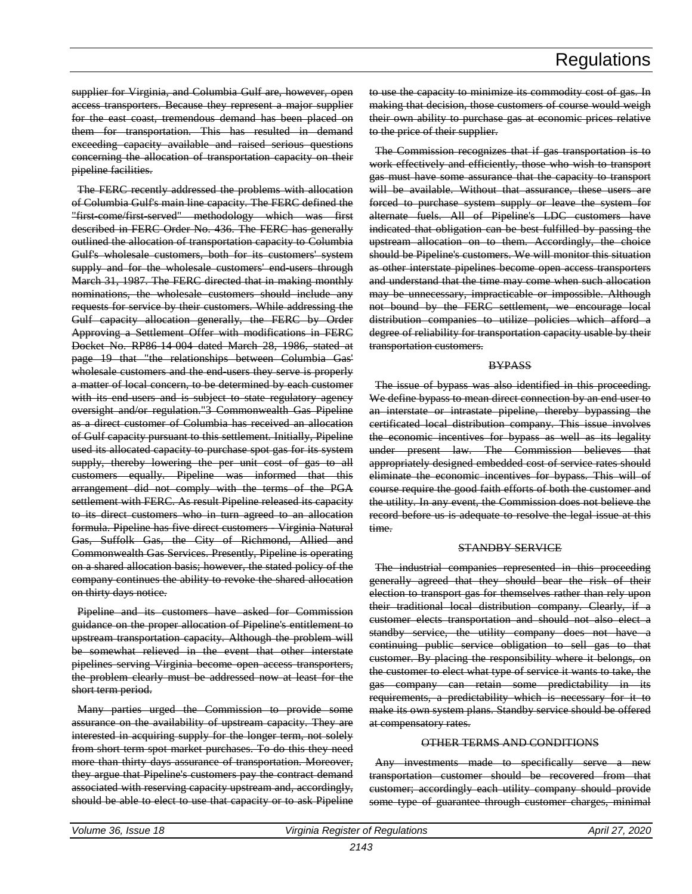supplier for Virginia, and Columbia Gulf are, however, open access transporters. Because they represent a major supplier for the east coast, tremendous demand has been placed on them for transportation. This has resulted in demand exceeding capacity available and raised serious questions concerning the allocation of transportation capacity on their pipeline facilities.

The FERC recently addressed the problems with allocation of Columbia Gulf's main line capacity. The FERC defined the "first-come/first-served" methodology which was first described in FERC Order No. 436. The FERC has generally outlined the allocation of transportation capacity to Columbia Gulf's wholesale customers, both for its customers' system supply and for the wholesale customers' end users through March 31, 1987. The FERC directed that in making monthly nominations, the wholesale customers should include any requests for service by their customers. While addressing the Gulf capacity allocation generally, the FERC by Order Approving a Settlement Offer with modifications in FERC Docket No. RP86-14-004 dated March 28, 1986, stated at page 19 that "the relationships between Columbia Gas' wholesale customers and the end-users they serve is properly a matter of local concern, to be determined by each customer with its end users and is subject to state regulatory agency oversight and/or regulation."3 Commonwealth Gas Pipeline as a direct customer of Columbia has received an allocation of Gulf capacity pursuant to this settlement. Initially, Pipeline used its allocated capacity to purchase spot gas for its system supply, thereby lowering the per unit cost of gas to all customers equally. Pipeline was informed that this arrangement did not comply with the terms of the PGA settlement with FERC. As result Pipeline released its capacity to its direct customers who in turn agreed to an allocation formula. Pipeline has five direct customers Virginia Natural Gas, Suffolk Gas, the City of Richmond, Allied and Commonwealth Gas Services. Presently, Pipeline is operating on a shared allocation basis; however, the stated policy of the company continues the ability to revoke the shared allocation on thirty days notice.

Pipeline and its customers have asked for Commission guidance on the proper allocation of Pipeline's entitlement to upstream transportation capacity. Although the problem will be somewhat relieved in the event that other interstate pipelines serving Virginia become open access transporters, the problem clearly must be addressed now at least for the short term period.

Many parties urged the Commission to provide some assurance on the availability of upstream capacity. They are interested in acquiring supply for the longer term, not solely from short term spot market purchases. To do this they need more than thirty days assurance of transportation. Moreover, they argue that Pipeline's customers pay the contract demand associated with reserving capacity upstream and, accordingly, should be able to elect to use that capacity or to ask Pipeline

to use the capacity to minimize its commodity cost of gas. In making that decision, those customers of course would weigh their own ability to purchase gas at economic prices relative to the price of their supplier.

The Commission recognizes that if gas transportation is to work effectively and efficiently, those who wish to transport gas must have some assurance that the capacity to transport will be available. Without that assurance, these users are forced to purchase system supply or leave the system for alternate fuels. All of Pipeline's LDC customers have indicated that obligation can be best fulfilled by passing the upstream allocation on to them. Accordingly, the choice should be Pipeline's customers. We will monitor this situation as other interstate pipelines become open access transporters and understand that the time may come when such allocation may be unnecessary, impracticable or impossible. Although not bound by the FERC settlement, we encourage local distribution companies to utilize policies which afford a degree of reliability for transportation capacity usable by their transportation customers.

#### **BYPASS**

The issue of bypass was also identified in this proceeding. We define bypass to mean direct connection by an end user to an interstate or intrastate pipeline, thereby bypassing the certificated local distribution company. This issue involves the economic incentives for bypass as well as its legality under present law. The Commission believes that appropriately designed embedded cost of service rates should eliminate the economic incentives for bypass. This will of course require the good faith efforts of both the customer and the utility. In any event, the Commission does not believe the record before us is adequate to resolve the legal issue at this time.

#### STANDBY SERVICE

The industrial companies represented in this proceeding generally agreed that they should bear the risk of their election to transport gas for themselves rather than rely upon their traditional local distribution company. Clearly, if a customer elects transportation and should not also elect a standby service, the utility company does not have a continuing public service obligation to sell gas to that customer. By placing the responsibility where it belongs, on the customer to elect what type of service it wants to take, the gas company can retain some predictability in its requirements, a predictability which is necessary for it to make its own system plans. Standby service should be offered at compensatory rates.

#### OTHER TERMS AND CONDITIONS

Any investments made to specifically serve a new transportation customer should be recovered from that customer; accordingly each utility company should provide some type of guarantee through customer charges, minimal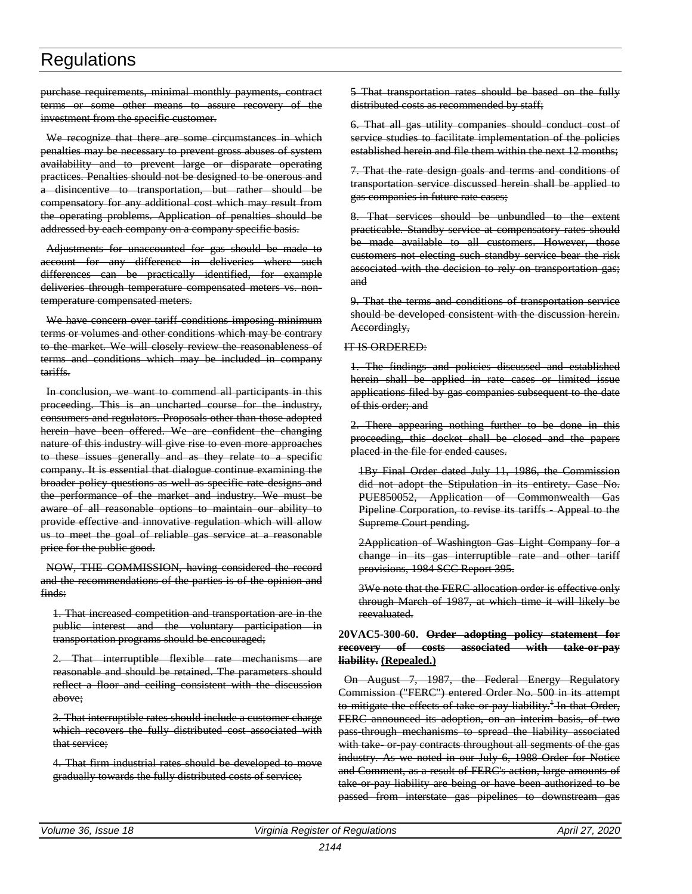purchase requirements, minimal monthly payments, contract terms or some other means to assure recovery of the investment from the specific customer.

We recognize that there are some circumstances in which penalties may be necessary to prevent gross abuses of system availability and to prevent large or disparate operating practices. Penalties should not be designed to be onerous and a disincentive to transportation, but rather should be compensatory for any additional cost which may result from the operating problems. Application of penalties should be addressed by each company on a company specific basis.

Adjustments for unaccounted for gas should be made to account for any difference in deliveries where such differences can be practically identified, for example deliveries through temperature compensated meters vs. nontemperature compensated meters.

We have concern over tariff conditions imposing minimum terms or volumes and other conditions which may be contrary to the market. We will closely review the reasonableness of terms and conditions which may be included in company tariffs.

In conclusion, we want to commend all participants in this proceeding. This is an uncharted course for the industry, consumers and regulators. Proposals other than those adopted herein have been offered. We are confident the changing nature of this industry will give rise to even more approaches to these issues generally and as they relate to a specific company. It is essential that dialogue continue examining the broader policy questions as well as specific rate designs and the performance of the market and industry. We must be aware of all reasonable options to maintain our ability to provide effective and innovative regulation which will allow us to meet the goal of reliable gas service at a reasonable price for the public good.

NOW, THE COMMISSION, having considered the record and the recommendations of the parties is of the opinion and finds:

1. That increased competition and transportation are in the public interest and the voluntary participation in transportation programs should be encouraged;

2. That interruptible flexible rate mechanisms are reasonable and should be retained. The parameters should reflect a floor and ceiling consistent with the discussion above;

3. That interruptible rates should include a customer charge which recovers the fully distributed cost associated with that service;

4. That firm industrial rates should be developed to move gradually towards the fully distributed costs of service;

5 That transportation rates should be based on the fully distributed costs as recommended by staff;

6. That all gas utility companies should conduct cost of service studies to facilitate implementation of the policies established herein and file them within the next 12 months;

7. That the rate design goals and terms and conditions of transportation service discussed herein shall be applied to gas companies in future rate cases;

8. That services should be unbundled to the extent practicable. Standby service at compensatory rates should be made available to all customers. However, those customers not electing such standby service bear the risk associated with the decision to rely on transportation gas; and

9. That the terms and conditions of transportation service should be developed consistent with the discussion herein. Accordingly,

#### IT IS ORDERED:

1. The findings and policies discussed and established herein shall be applied in rate cases or limited issue applications filed by gas companies subsequent to the date of this order; and

2. There appearing nothing further to be done in this proceeding, this docket shall be closed and the papers placed in the file for ended causes.

1By Final Order dated July 11, 1986, the Commission did not adopt the Stipulation in its entirety. Case No. PUE850052, Application of Commonwealth Gas Pipeline Corporation, to revise its tariffs - Appeal to the Supreme Court pending.

2Application of Washington Gas Light Company for a change in its gas interruptible rate and other tariff provisions, 1984 SCC Report 395.

3We note that the FERC allocation order is effective only through March of 1987, at which time it will likely be reevaluated.

#### **20VAC5-300-60. Order adopting policy statement for recovery of costs associated with take-or-pay liability. (Repealed.)**

On August 7, 1987, the Federal Energy Regulatory Commission ("FERC") entered Order No. 500 in its attempt to mitigate the effects of take or pay liability.<sup> $+$ </sup> In that Order, FERC announced its adoption, on an interim basis, of two pass-through mechanisms to spread the liability associated with take or pay contracts throughout all segments of the gas industry. As we noted in our July 6, 1988 Order for Notice and Comment, as a result of FERC's action, large amounts of take or pay liability are being or have been authorized to be passed from interstate gas pipelines to downstream gas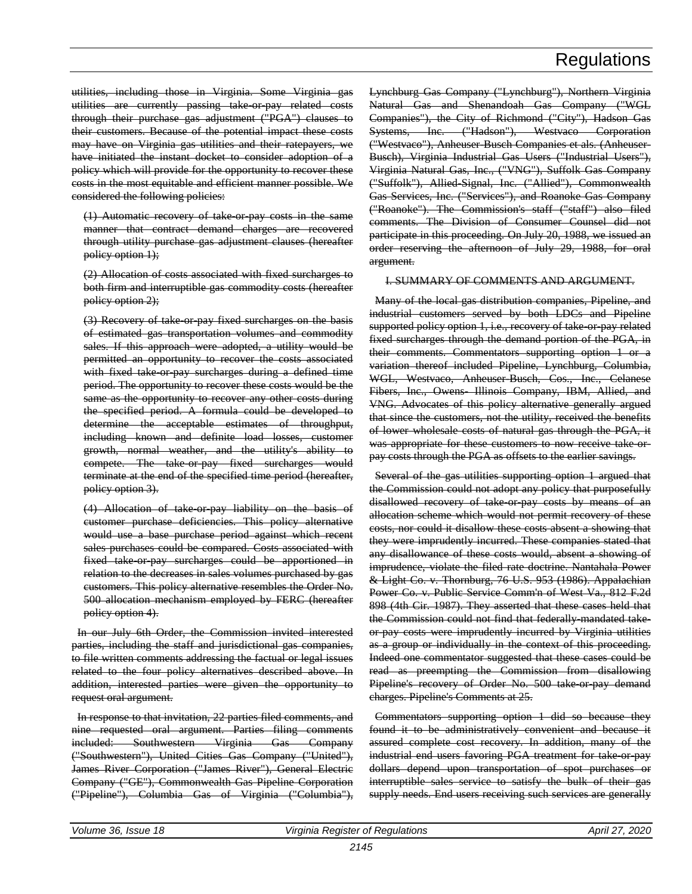utilities, including those in Virginia. Some Virginia gas utilities are currently passing take-or-pay related costs through their purchase gas adjustment ("PGA") clauses to their customers. Because of the potential impact these costs may have on Virginia gas utilities and their ratepayers, we have initiated the instant docket to consider adoption of a policy which will provide for the opportunity to recover these costs in the most equitable and efficient manner possible. We considered the following policies:

(1) Automatic recovery of take-or-pay costs in the same manner that contract demand charges are recovered through utility purchase gas adjustment clauses (hereafter policy option 1);

(2) Allocation of costs associated with fixed surcharges to both firm and interruptible gas commodity costs (hereafter policy option 2);

(3) Recovery of take or pay fixed surcharges on the basis of estimated gas transportation volumes and commodity sales. If this approach were adopted, a utility would be permitted an opportunity to recover the costs associated with fixed take or pay surcharges during a defined time period. The opportunity to recover these costs would be the same as the opportunity to recover any other costs during the specified period. A formula could be developed to determine the acceptable estimates of throughput, including known and definite load losses, customer growth, normal weather, and the utility's ability to compete. The take-or-pay fixed surcharges would terminate at the end of the specified time period (hereafter, policy option 3).

(4) Allocation of take-or-pay liability on the basis of customer purchase deficiencies. This policy alternative would use a base purchase period against which recent sales purchases could be compared. Costs associated with fixed take or pay surcharges could be apportioned in relation to the decreases in sales volumes purchased by gas customers. This policy alternative resembles the Order No. 500 allocation mechanism employed by FERC (hereafter policy option 4).

In our July 6th Order, the Commission invited interested parties, including the staff and jurisdictional gas companies, to file written comments addressing the factual or legal issues related to the four policy alternatives described above. In addition, interested parties were given the opportunity to request oral argument.

In response to that invitation, 22 parties filed comments, and nine requested oral argument. Parties filing comments included: Southwestern Virginia Gas Company ("Southwestern"), United Cities Gas Company ("United"), James River Corporation ("James River"), General Electric Company ("GE"), Commonwealth Gas Pipeline Corporation ("Pipeline"), Columbia Gas of Virginia ("Columbia"),

Lynchburg Gas Company ("Lynchburg"), Northern Virginia Natural Gas and Shenandoah Gas Company ("WGL Companies"), the City of Richmond ("City"), Hadson Gas Systems, Inc. ("Hadson"), Westvaco Corporation ("Westvaco"), Anheuser-Busch Companies et als. (Anheuser-Busch), Virginia Industrial Gas Users ("Industrial Users"), Virginia Natural Gas, Inc., ("VNG"), Suffolk Gas Company ("Suffolk"), Allied-Signal, Inc. ("Allied"), Commonwealth Gas Services, Inc. ("Services"), and Roanoke Gas Company ("Roanoke"). The Commission's staff ("staff") also filed comments. The Division of Consumer Counsel did not participate in this proceeding. On July 20, 1988, we issued an order reserving the afternoon of July 29, 1988, for oral argument.

#### I. SUMMARY OF COMMENTS AND ARGUMENT.

Many of the local gas distribution companies, Pipeline, and industrial customers served by both LDCs and Pipeline supported policy option 1, i.e., recovery of take or pay related fixed surcharges through the demand portion of the PGA, in their comments. Commentators supporting option 1 or a variation thereof included Pipeline, Lynchburg, Columbia, WGL, Westvaco, Anheuser-Busch, Cos., Inc., Celanese Fibers, Inc., Owens- Illinois Company, IBM, Allied, and VNG. Advocates of this policy alternative generally argued that since the customers, not the utility, received the benefits of lower wholesale costs of natural gas through the PGA, it was appropriate for these customers to now receive take orpay costs through the PGA as offsets to the earlier savings.

Several of the gas utilities supporting option 1 argued that the Commission could not adopt any policy that purposefully disallowed recovery of take-or-pay costs by means of an allocation scheme which would not permit recovery of these costs, nor could it disallow these costs absent a showing that they were imprudently incurred. These companies stated that any disallowance of these costs would, absent a showing of imprudence, violate the filed rate doctrine. Nantahala Power & Light Co. v. Thornburg, 76 U.S. 953 (1986). Appalachian Power Co. v. Public Service Comm'n of West Va., 812 F.2d 898 (4th Cir. 1987). They asserted that these cases held that the Commission could not find that federally-mandated takeor-pay costs were imprudently incurred by Virginia utilities as a group or individually in the context of this proceeding. Indeed one commentator suggested that these cases could be read as preempting the Commission from disallowing Pipeline's recovery of Order No. 500 take or pay demand charges. Pipeline's Comments at 25.

Commentators supporting option 1 did so because they found it to be administratively convenient and because it assured complete cost recovery. In addition, many of the industrial end users favoring PGA treatment for take or pay dollars depend upon transportation of spot purchases or interruptible sales service to satisfy the bulk of their gas supply needs. End users receiving such services are generally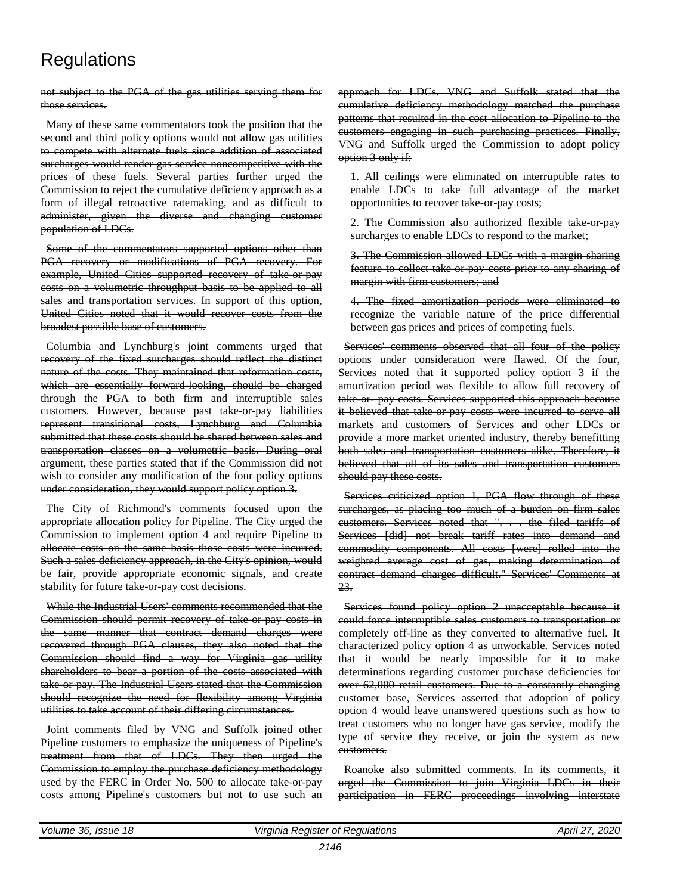not subject to the PGA of the gas utilities serving them for those services.

Many of these same commentators took the position that the second and third policy options would not allow gas utilities to compete with alternate fuels since addition of associated surcharges would render gas service noncompetitive with the prices of these fuels. Several parties further urged the Commission to reject the cumulative deficiency approach as a form of illegal retroactive ratemaking, and as difficult to administer, given the diverse and changing customer population of LDCs.

Some of the commentators supported options other than PGA recovery or modifications of PGA recovery. For example, United Cities supported recovery of take or pay costs on a volumetric throughput basis to be applied to all sales and transportation services. In support of this option, United Cities noted that it would recover costs from the broadest possible base of customers.

Columbia and Lynchburg's joint comments urged that recovery of the fixed surcharges should reflect the distinct nature of the costs. They maintained that reformation costs, which are essentially forward-looking, should be charged through the PGA to both firm and interruptible sales customers. However, because past take or pay liabilities represent transitional costs, Lynchburg and Columbia submitted that these costs should be shared between sales and transportation classes on a volumetric basis. During oral argument, these parties stated that if the Commission did not wish to consider any modification of the four policy options under consideration, they would support policy option 3.

The City of Richmond's comments focused upon the appropriate allocation policy for Pipeline. The City urged the Commission to implement option 4 and require Pipeline to allocate costs on the same basis those costs were incurred. Such a sales deficiency approach, in the City's opinion, would be fair, provide appropriate economic signals, and create stability for future take-or-pay cost decisions.

While the Industrial Users' comments recommended that the Commission should permit recovery of take-or-pay costs in the same manner that contract demand charges were recovered through PGA clauses, they also noted that the Commission should find a way for Virginia gas utility shareholders to bear a portion of the costs associated with take or pay. The Industrial Users stated that the Commission should recognize the need for flexibility among Virginia utilities to take account of their differing circumstances.

Joint comments filed by VNG and Suffolk joined other Pipeline customers to emphasize the uniqueness of Pipeline's treatment from that of LDCs. They then urged the Commission to employ the purchase deficiency methodology used by the FERC in Order No. 500 to allocate take or pay costs among Pipeline's customers but not to use such an approach for LDCs. VNG and Suffolk stated that the cumulative deficiency methodology matched the purchase patterns that resulted in the cost allocation to Pipeline to the customers engaging in such purchasing practices. Finally, VNG and Suffolk urged the Commission to adopt policy option 3 only if:

1. All ceilings were eliminated on interruptible rates to enable LDCs to take full advantage of the market opportunities to recover take-or-pay costs;

2. The Commission also authorized flexible take or pay surcharges to enable LDCs to respond to the market;

3. The Commission allowed LDCs with a margin sharing feature to collect take-or-pay costs prior to any sharing of margin with firm customers; and

4. The fixed amortization periods were eliminated to recognize the variable nature of the price differential between gas prices and prices of competing fuels.

Services' comments observed that all four of the policy options under consideration were flawed. Of the four, Services noted that it supported policy option 3 if the amortization period was flexible to allow full recovery of take or pay costs. Services supported this approach because it believed that take or pay costs were incurred to serve all markets and customers of Services and other LDCs or provide a more market oriented industry, thereby benefitting both sales and transportation customers alike. Therefore, it believed that all of its sales and transportation customers should pay these costs.

Services criticized option 1, PGA flow through of these surcharges, as placing too much of a burden on firm sales customers. Services noted that ". . . the filed tariffs of Services [did] not break tariff rates into demand and commodity components. All costs [were] rolled into the weighted average cost of gas, making determination of contract demand charges difficult." Services' Comments at 23.

Services found policy option 2 unacceptable because it could force interruptible sales customers to transportation or completely off-line as they converted to alternative fuel. It characterized policy option 4 as unworkable. Services noted that it would be nearly impossible for it to make determinations regarding customer purchase deficiencies for over 62,000 retail customers. Due to a constantly changing customer base, Services asserted that adoption of policy option 4 would leave unanswered questions such as how to treat customers who no longer have gas service, modify the type of service they receive, or join the system as new customers.

Roanoke also submitted comments. In its comments, it urged the Commission to join Virginia LDCs in their participation in FERC proceedings involving interstate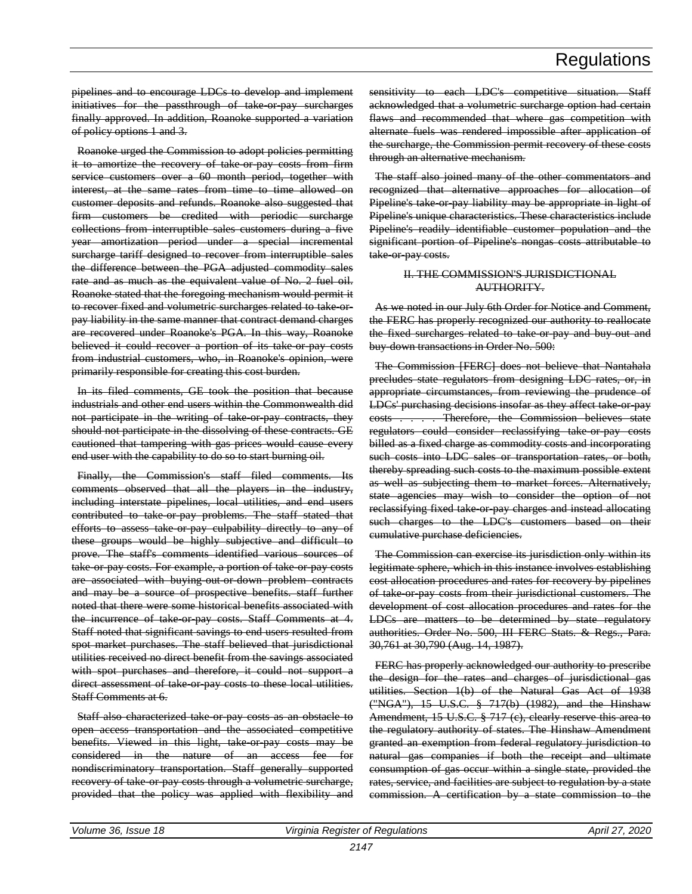pipelines and to encourage LDCs to develop and implement initiatives for the passthrough of take-or-pay surcharges finally approved. In addition, Roanoke supported a variation of policy options 1 and 3.

Roanoke urged the Commission to adopt policies permitting it to amortize the recovery of take or pay costs from firm service customers over a 60 month period, together with interest, at the same rates from time to time allowed on customer deposits and refunds. Roanoke also suggested that firm customers be credited with periodic surcharge collections from interruptible sales customers during a five year amortization period under a special incremental surcharge tariff designed to recover from interruptible sales the difference between the PGA adjusted commodity sales rate and as much as the equivalent value of No. 2 fuel oil. Roanoke stated that the foregoing mechanism would permit it to recover fixed and volumetric surcharges related to take-orpay liability in the same manner that contract demand charges are recovered under Roanoke's PGA. In this way, Roanoke believed it could recover a portion of its take or pay costs from industrial customers, who, in Roanoke's opinion, were primarily responsible for creating this cost burden.

In its filed comments, GE took the position that because industrials and other end users within the Commonwealth did not participate in the writing of take-or-pay contracts, they should not participate in the dissolving of these contracts. GE cautioned that tampering with gas prices would cause every end user with the capability to do so to start burning oil.

Finally, the Commission's staff filed comments. Its comments observed that all the players in the industry, including interstate pipelines, local utilities, and end users contributed to take or pay problems. The staff stated that efforts to assess take or pay culpability directly to any of these groups would be highly subjective and difficult to prove. The staff's comments identified various sources of take or pay costs. For example, a portion of take or pay costs are associated with buying-out-or-down problem contracts and may be a source of prospective benefits. staff further noted that there were some historical benefits associated with the incurrence of take or pay costs. Staff Comments at 4. Staff noted that significant savings to end users resulted from spot market purchases. The staff believed that jurisdictional utilities received no direct benefit from the savings associated with spot purchases and therefore, it could not support a direct assessment of take or pay costs to these local utilities. Staff Comments at 6.

Staff also characterized take or pay costs as an obstacle to open access transportation and the associated competitive benefits. Viewed in this light, take-or-pay costs may be considered in the nature of an access fee for nondiscriminatory transportation. Staff generally supported recovery of take or pay costs through a volumetric surcharge, provided that the policy was applied with flexibility and sensitivity to each LDC's competitive situation. Staff acknowledged that a volumetric surcharge option had certain flaws and recommended that where gas competition with alternate fuels was rendered impossible after application of the surcharge, the Commission permit recovery of these costs through an alternative mechanism.

The staff also joined many of the other commentators and recognized that alternative approaches for allocation of Pipeline's take or pay liability may be appropriate in light of Pipeline's unique characteristics. These characteristics include Pipeline's readily identifiable customer population and the significant portion of Pipeline's nongas costs attributable to take-or-pay costs.

#### II. THE COMMISSION'S JURISDICTIONAL AUTHORITY.

As we noted in our July 6th Order for Notice and Comment, the FERC has properly recognized our authority to reallocate the fixed surcharges related to take or pay and buy out and buy-down transactions in Order No. 500:

The Commission [FERC] does not believe that Nantahala precludes state regulators from designing LDC rates, or, in appropriate circumstances, from reviewing the prudence of LDCs' purchasing decisions insofar as they affect take or pay costs . . . . Therefore, the Commission believes state regulators could consider reclassifying take-or-pay costs billed as a fixed charge as commodity costs and incorporating such costs into LDC sales or transportation rates, or both, thereby spreading such costs to the maximum possible extent as well as subjecting them to market forces. Alternatively, state agencies may wish to consider the option of not reclassifying fixed take-or-pay charges and instead allocating such charges to the LDC's customers based on their cumulative purchase deficiencies.

The Commission can exercise its jurisdiction only within its legitimate sphere, which in this instance involves establishing cost allocation procedures and rates for recovery by pipelines of take-or-pay costs from their jurisdictional customers. The development of cost allocation procedures and rates for the LDCs are matters to be determined by state regulatory authorities. Order No. 500, III FERC Stats. & Regs., Para. 30,761 at 30,790 (Aug. 14, 1987).

FERC has properly acknowledged our authority to prescribe the design for the rates and charges of jurisdictional gas utilities. Section 1(b) of the Natural Gas Act of 1938 ("NGA"), 15 U.S.C. § 717(b) (1982), and the Hinshaw Amendment, 15 U.S.C. § 717 (c), clearly reserve this area to the regulatory authority of states. The Hinshaw Amendment granted an exemption from federal regulatory jurisdiction to natural gas companies if both the receipt and ultimate consumption of gas occur within a single state, provided the rates, service, and facilities are subject to regulation by a state commission. A certification by a state commission to the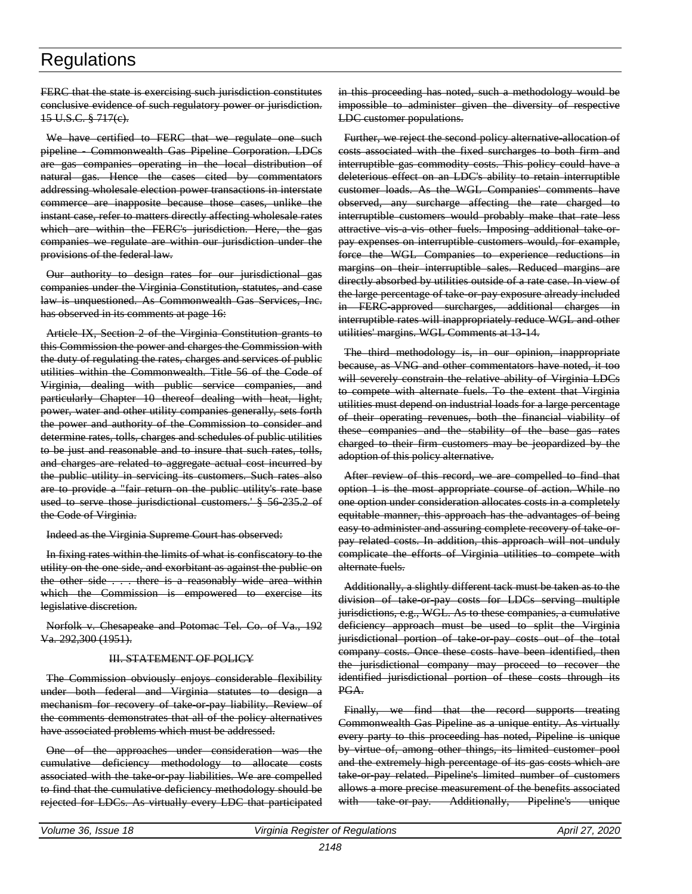FERC that the state is exercising such jurisdiction constitutes conclusive evidence of such regulatory power or jurisdiction. 15 U.S.C. § 717(c).

We have certified to FERC that we regulate one such pipeline - Commonwealth Gas Pipeline Corporation. LDCs are gas companies operating in the local distribution of natural gas. Hence the cases cited by commentators addressing wholesale election power transactions in interstate commerce are inapposite because those cases, unlike the instant case, refer to matters directly affecting wholesale rates which are within the FERC's jurisdiction. Here, the gas companies we regulate are within our jurisdiction under the provisions of the federal law.

Our authority to design rates for our jurisdictional gas companies under the Virginia Constitution, statutes, and case law is unquestioned. As Commonwealth Gas Services, Inc. has observed in its comments at page 16:

Article IX, Section 2 of the Virginia Constitution grants to this Commission the power and charges the Commission with the duty of regulating the rates, charges and services of public utilities within the Commonwealth. Title 56 of the Code of Virginia, dealing with public service companies, and particularly Chapter 10 thereof dealing with heat, light, power, water and other utility companies generally, sets forth the power and authority of the Commission to consider and determine rates, tolls, charges and schedules of public utilities to be just and reasonable and to insure that such rates, tolls, and charges are related to aggregate actual cost incurred by the public utility in servicing its customers. Such rates also are to provide a "fair return on the public utility's rate base used to serve those jurisdictional customers.' § 56-235.2 of the Code of Virginia.

Indeed as the Virginia Supreme Court has observed:

In fixing rates within the limits of what is confiscatory to the utility on the one side, and exorbitant as against the public on the other side . . . there is a reasonably wide area within which the Commission is empowered to exercise its legislative discretion.

Norfolk v. Chesapeake and Potomac Tel. Co. of Va., 192 Va. 292,300 (1951).

#### III. STATEMENT OF POLICY

The Commission obviously enjoys considerable flexibility under both federal and Virginia statutes to design a mechanism for recovery of take or pay liability. Review of the comments demonstrates that all of the policy alternatives have associated problems which must be addressed.

One of the approaches under consideration was the cumulative deficiency methodology to allocate costs associated with the take-or-pay liabilities. We are compelled to find that the cumulative deficiency methodology should be rejected for LDCs. As virtually every LDC that participated

in this proceeding has noted, such a methodology would be impossible to administer given the diversity of respective LDC customer populations.

Further, we reject the second policy alternative allocation of costs associated with the fixed surcharges to both firm and interruptible gas commodity costs. This policy could have a deleterious effect on an LDC's ability to retain interruptible customer loads. As the WGL Companies' comments have observed, any surcharge affecting the rate charged to interruptible customers would probably make that rate less attractive vis a vis other fuels. Imposing additional take orpay expenses on interruptible customers would, for example, force the WGL Companies to experience reductions in margins on their interruptible sales. Reduced margins are directly absorbed by utilities outside of a rate case. In view of the large percentage of take-or-pay exposure already included in FERC-approved surcharges, additional charges in interruptible rates will inappropriately reduce WGL and other utilities' margins. WGL Comments at 13-14.

The third methodology is, in our opinion, inappropriate because, as VNG and other commentators have noted, it too will severely constrain the relative ability of Virginia LDCs to compete with alternate fuels. To the extent that Virginia utilities must depend on industrial loads for a large percentage of their operating revenues, both the financial viability of these companies and the stability of the base gas rates charged to their firm customers may be jeopardized by the adoption of this policy alternative.

After review of this record, we are compelled to find that option 1 is the most appropriate course of action. While no one option under consideration allocates costs in a completely equitable manner, this approach has the advantages of being easy to administer and assuring complete recovery of take orpay related costs. In addition, this approach will not unduly complicate the efforts of Virginia utilities to compete with alternate fuels.

Additionally, a slightly different tack must be taken as to the division of take-or-pay costs for LDCs serving multiple jurisdictions, e.g., WGL. As to these companies, a cumulative deficiency approach must be used to split the Virginia jurisdictional portion of take or pay costs out of the total company costs. Once these costs have been identified, then the jurisdictional company may proceed to recover the identified jurisdictional portion of these costs through its PGA.

Finally, we find that the record supports treating Commonwealth Gas Pipeline as a unique entity. As virtually every party to this proceeding has noted, Pipeline is unique by virtue of, among other things, its limited customer pool and the extremely high percentage of its gas costs which are take or pay related. Pipeline's limited number of customers allows a more precise measurement of the benefits associated with take or pay. Additionally, Pipeline's unique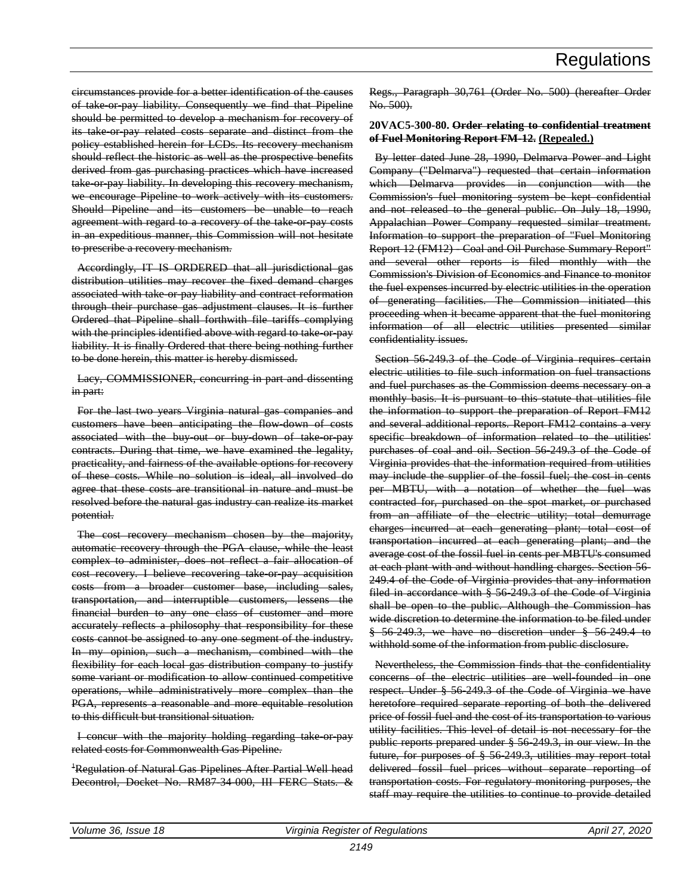circumstances provide for a better identification of the causes of take-or-pay liability. Consequently we find that Pipeline should be permitted to develop a mechanism for recovery of its take or pay related costs separate and distinct from the policy established herein for LCDs. Its recovery mechanism should reflect the historic as well as the prospective benefits derived from gas purchasing practices which have increased take or pay liability. In developing this recovery mechanism, we encourage Pipeline to work actively with its customers. Should Pipeline and its customers be unable to reach agreement with regard to a recovery of the take or pay costs in an expeditious manner, this Commission will not hesitate to prescribe a recovery mechanism.

Accordingly, IT IS ORDERED that all jurisdictional gas distribution utilities may recover the fixed demand charges associated with take or pay liability and contract reformation through their purchase gas adjustment clauses. It is further Ordered that Pipeline shall forthwith file tariffs complying with the principles identified above with regard to take-or-pay liability. It is finally Ordered that there being nothing further to be done herein, this matter is hereby dismissed.

Lacy, COMMISSIONER, concurring in part and dissenting in part:

For the last two years Virginia natural gas companies and customers have been anticipating the flow-down of costs associated with the buy-out or buy-down of take or pay contracts. During that time, we have examined the legality, practicality, and fairness of the available options for recovery of these costs. While no solution is ideal, all involved do agree that these costs are transitional in nature and must be resolved before the natural gas industry can realize its market potential.

The cost recovery mechanism chosen by the majority, automatic recovery through the PGA clause, while the least complex to administer, does not reflect a fair allocation of cost recovery. I believe recovering take or pay acquisition costs from a broader customer base, including sales, transportation, and interruptible customers, lessens the financial burden to any one class of customer and more accurately reflects a philosophy that responsibility for these costs cannot be assigned to any one segment of the industry. In my opinion, such a mechanism, combined with the flexibility for each local gas distribution company to justify some variant or modification to allow continued competitive operations, while administratively more complex than the PGA, represents a reasonable and more equitable resolution to this difficult but transitional situation.

I concur with the majority holding regarding take or pay related costs for Commonwealth Gas Pipeline.

<sup>+</sup>Regulation of Natural Gas Pipelines After Partial Well head Decontrol, Docket No. RM87-34-000, III FERC Stats. &

Regs., Paragraph 30,761 (Order No. 500) (hereafter Order No. 500).

#### **20VAC5-300-80. Order relating to confidential treatment of Fuel Monitoring Report FM-12. (Repealed.)**

By letter dated June 28, 1990, Delmarva Power and Light Company ("Delmarva") requested that certain information which Delmarva provides in conjunction with the Commission's fuel monitoring system be kept confidential and not released to the general public. On July 18, 1990, Appalachian Power Company requested similar treatment. Information to support the preparation of "Fuel Monitoring Report 12 (FM12) Coal and Oil Purchase Summary Report" and several other reports is filed monthly with the Commission's Division of Economics and Finance to monitor the fuel expenses incurred by electric utilities in the operation of generating facilities. The Commission initiated this proceeding when it became apparent that the fuel monitoring information of all electric utilities presented similar confidentiality issues.

Section 56-249.3 of the Code of Virginia requires certain electric utilities to file such information on fuel transactions and fuel purchases as the Commission deems necessary on a monthly basis. It is pursuant to this statute that utilities file the information to support the preparation of Report FM12 and several additional reports. Report FM12 contains a very specific breakdown of information related to the utilities' purchases of coal and oil. Section 56-249.3 of the Code of Virginia provides that the information required from utilities may include the supplier of the fossil fuel; the cost in cents per MBTU, with a notation of whether the fuel was contracted for, purchased on the spot market, or purchased from an affiliate of the electric utility; total demurrage charges incurred at each generating plant; total cost of transportation incurred at each generating plant; and the average cost of the fossil fuel in cents per MBTU's consumed at each plant with and without handling charges. Section 56- 249.4 of the Code of Virginia provides that any information filed in accordance with § 56-249.3 of the Code of Virginia shall be open to the public. Although the Commission has wide discretion to determine the information to be filed under § 56-249.3, we have no discretion under § 56-249.4 to withhold some of the information from public disclosure.

Nevertheless, the Commission finds that the confidentiality concerns of the electric utilities are well-founded in one respect. Under § 56-249.3 of the Code of Virginia we have heretofore required separate reporting of both the delivered price of fossil fuel and the cost of its transportation to various utility facilities. This level of detail is not necessary for the public reports prepared under § 56-249.3, in our view. In the future, for purposes of § 56-249.3, utilities may report total delivered fossil fuel prices without separate reporting of transportation costs. For regulatory monitoring purposes, the staff may require the utilities to continue to provide detailed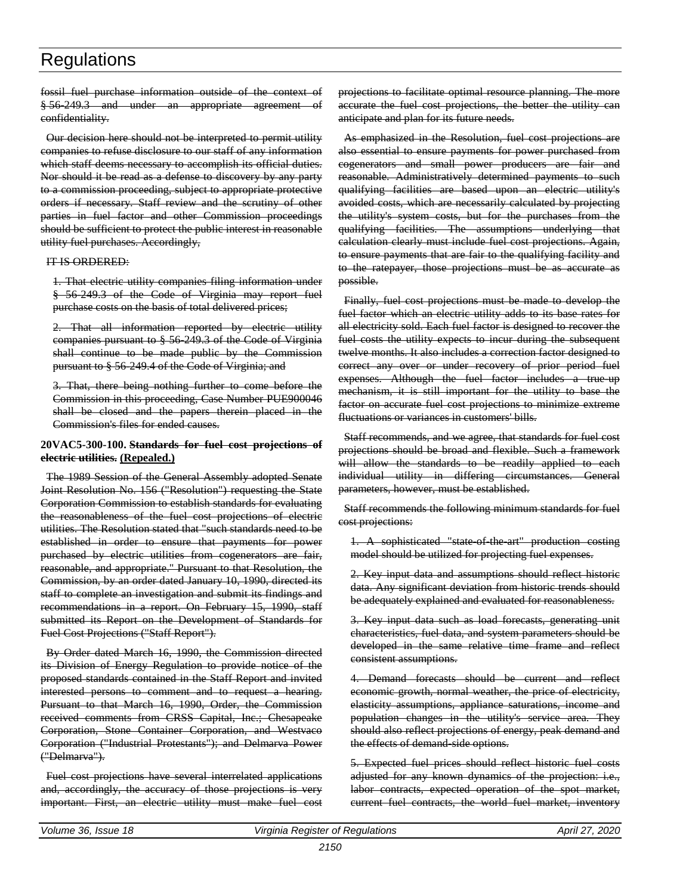fossil fuel purchase information outside of the context of § 56-249.3 and under an appropriate agreement of confidentiality.

Our decision here should not be interpreted to permit utility companies to refuse disclosure to our staff of any information which staff deems necessary to accomplish its official duties. Nor should it be read as a defense to discovery by any party to a commission proceeding, subject to appropriate protective orders if necessary. Staff review and the scrutiny of other parties in fuel factor and other Commission proceedings should be sufficient to protect the public interest in reasonable utility fuel purchases. Accordingly,

#### IT IS ORDERED:

1. That electric utility companies filing information under § 56-249.3 of the Code of Virginia may report fuel purchase costs on the basis of total delivered prices;

2. That all information reported by electric utility companies pursuant to § 56-249.3 of the Code of Virginia shall continue to be made public by the Commission pursuant to § 56-249.4 of the Code of Virginia; and

3. That, there being nothing further to come before the Commission in this proceeding, Case Number PUE900046 shall be closed and the papers therein placed in the Commission's files for ended causes.

#### **20VAC5-300-100. Standards for fuel cost projections of electric utilities. (Repealed.)**

The 1989 Session of the General Assembly adopted Senate Joint Resolution No. 156 ("Resolution") requesting the State Corporation Commission to establish standards for evaluating the reasonableness of the fuel cost projections of electric utilities. The Resolution stated that "such standards need to be established in order to ensure that payments for power purchased by electric utilities from cogenerators are fair, reasonable, and appropriate." Pursuant to that Resolution, the Commission, by an order dated January 10, 1990, directed its staff to complete an investigation and submit its findings and recommendations in a report. On February 15, 1990, staff submitted its Report on the Development of Standards for Fuel Cost Projections ("Staff Report").

By Order dated March 16, 1990, the Commission directed its Division of Energy Regulation to provide notice of the proposed standards contained in the Staff Report and invited interested persons to comment and to request a hearing. Pursuant to that March 16, 1990, Order, the Commission received comments from CRSS Capital, Inc.; Chesapeake Corporation, Stone Container Corporation, and Westvaco Corporation ("Industrial Protestants"); and Delmarva Power ("Delmarva").

Fuel cost projections have several interrelated applications and, accordingly, the accuracy of those projections is very important. First, an electric utility must make fuel cost projections to facilitate optimal resource planning. The more accurate the fuel cost projections, the better the utility can anticipate and plan for its future needs.

As emphasized in the Resolution, fuel cost projections are also essential to ensure payments for power purchased from cogenerators and small power producers are fair and reasonable. Administratively determined payments to such qualifying facilities are based upon an electric utility's avoided costs, which are necessarily calculated by projecting the utility's system costs, but for the purchases from the qualifying facilities. The assumptions underlying that calculation clearly must include fuel cost projections. Again, to ensure payments that are fair to the qualifying facility and to the ratepayer, those projections must be as accurate as possible.

Finally, fuel cost projections must be made to develop the fuel factor which an electric utility adds to its base rates for all electricity sold. Each fuel factor is designed to recover the fuel costs the utility expects to incur during the subsequent twelve months. It also includes a correction factor designed to correct any over or under recovery of prior period fuel expenses. Although the fuel factor includes a true-up mechanism, it is still important for the utility to base the factor on accurate fuel cost projections to minimize extreme fluctuations or variances in customers' bills.

Staff recommends, and we agree, that standards for fuel cost projections should be broad and flexible. Such a framework will allow the standards to be readily applied to each individual utility in differing circumstances. General parameters, however, must be established.

Staff recommends the following minimum standards for fuel cost projections:

1. A sophisticated "state of the art" production costing model should be utilized for projecting fuel expenses.

2. Key input data and assumptions should reflect historic data. Any significant deviation from historic trends should be adequately explained and evaluated for reasonableness.

3. Key input data such as load forecasts, generating unit characteristics, fuel data, and system parameters should be developed in the same relative time frame and reflect consistent assumptions.

4. Demand forecasts should be current and reflect economic growth, normal weather, the price of electricity, elasticity assumptions, appliance saturations, income and population changes in the utility's service area. They should also reflect projections of energy, peak demand and the effects of demand-side options.

5. Expected fuel prices should reflect historic fuel costs adjusted for any known dynamics of the projection: i.e., labor contracts, expected operation of the spot market, current fuel contracts, the world fuel market, inventory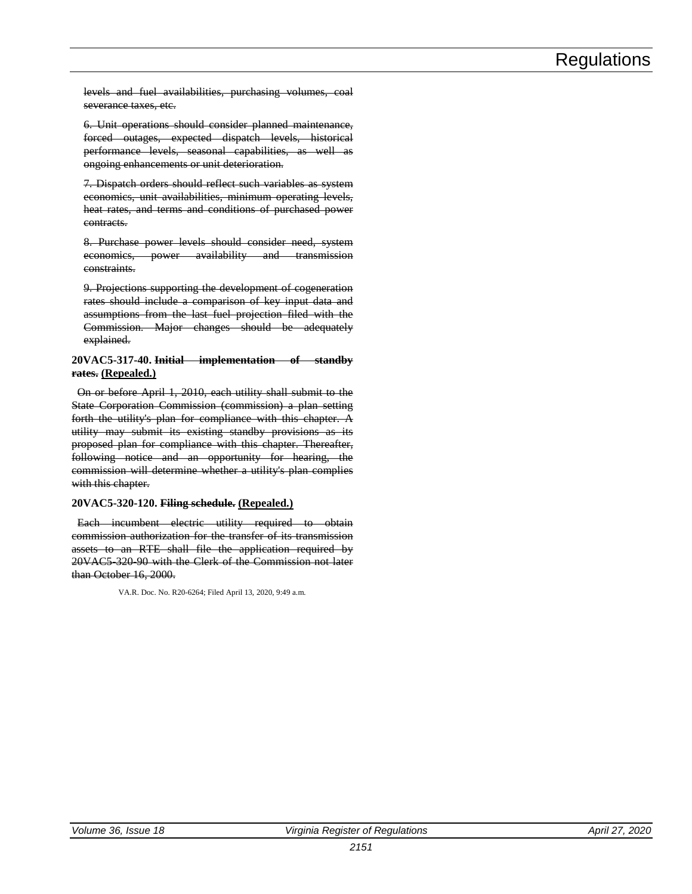levels and fuel availabilities, purchasing volumes, coal severance taxes, etc.

6. Unit operations should consider planned maintenance, forced outages, expected dispatch levels, historical performance levels, seasonal capabilities, as well as ongoing enhancements or unit deterioration.

7. Dispatch orders should reflect such variables as system economics, unit availabilities, minimum operating levels, heat rates, and terms and conditions of purchased power contracts.

8. Purchase power levels should consider need, system economics, power availability and transmission constraints.

9. Projections supporting the development of cogeneration rates should include a comparison of key input data and assumptions from the last fuel projection filed with the Commission. Major changes should be adequately explained.

#### **20VAC5-317-40. Initial implementation of standby rates. (Repealed.)**

On or before April 1, 2010, each utility shall submit to the State Corporation Commission (commission) a plan setting forth the utility's plan for compliance with this chapter. A utility may submit its existing standby provisions as its proposed plan for compliance with this chapter. Thereafter, following notice and an opportunity for hearing, the commission will determine whether a utility's plan complies with this chapter.

#### **20VAC5-320-120. Filing schedule. (Repealed.)**

Each incumbent electric utility required to obtain commission authorization for the transfer of its transmission assets to an RTE shall file the application required by 20VAC5-320-90 with the Clerk of the Commission not later than October 16, 2000.

VA.R. Doc. No. R20-6264; Filed April 13, 2020, 9:49 a.m.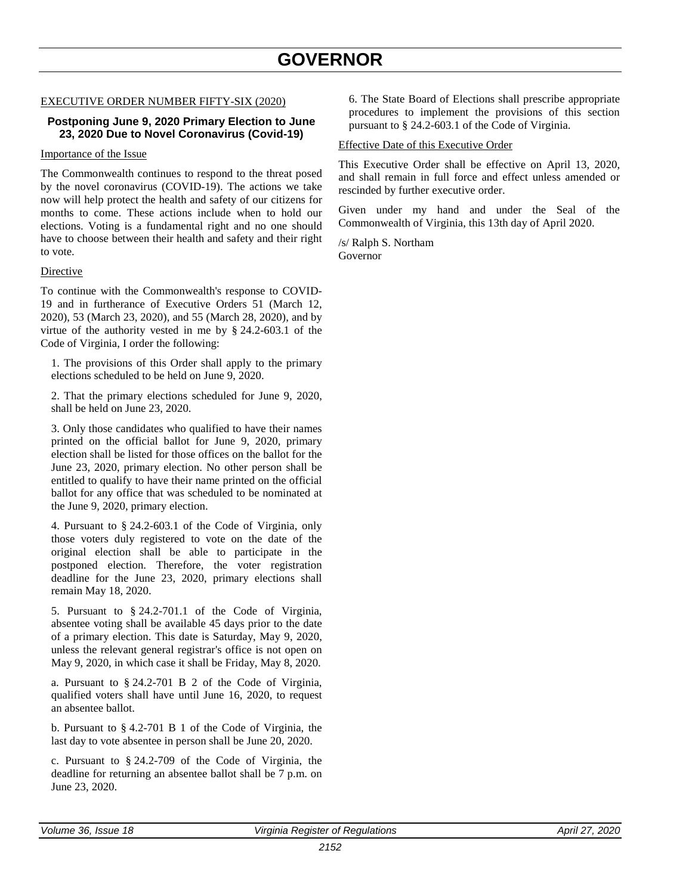### **GOVERNOR**

#### <span id="page-30-0"></span>EXECUTIVE ORDER NUMBER FIFTY-SIX (2020)

#### **Postponing June 9, 2020 Primary Election to June 23, 2020 Due to Novel Coronavirus (Covid-19)**

#### Importance of the Issue

The Commonwealth continues to respond to the threat posed by the novel coronavirus (COVID-19). The actions we take now will help protect the health and safety of our citizens for months to come. These actions include when to hold our elections. Voting is a fundamental right and no one should have to choose between their health and safety and their right to vote.

#### Directive

To continue with the Commonwealth's response to COVID-19 and in furtherance of Executive Orders 51 (March 12, 2020), 53 (March 23, 2020), and 55 (March 28, 2020), and by virtue of the authority vested in me by § 24.2-603.1 of the Code of Virginia, I order the following:

1. The provisions of this Order shall apply to the primary elections scheduled to be held on June 9, 2020.

2. That the primary elections scheduled for June 9, 2020, shall be held on June 23, 2020.

3. Only those candidates who qualified to have their names printed on the official ballot for June 9, 2020, primary election shall be listed for those offices on the ballot for the June 23, 2020, primary election. No other person shall be entitled to qualify to have their name printed on the official ballot for any office that was scheduled to be nominated at the June 9, 2020, primary election.

4. Pursuant to § 24.2-603.1 of the Code of Virginia, only those voters duly registered to vote on the date of the original election shall be able to participate in the postponed election. Therefore, the voter registration deadline for the June 23, 2020, primary elections shall remain May 18, 2020.

5. Pursuant to § 24.2-701.1 of the Code of Virginia, absentee voting shall be available 45 days prior to the date of a primary election. This date is Saturday, May 9, 2020, unless the relevant general registrar's office is not open on May 9, 2020, in which case it shall be Friday, May 8, 2020.

a. Pursuant to § 24.2-701 B 2 of the Code of Virginia, qualified voters shall have until June 16, 2020, to request an absentee ballot.

b. Pursuant to § 4.2-701 B 1 of the Code of Virginia, the last day to vote absentee in person shall be June 20, 2020.

c. Pursuant to § 24.2-709 of the Code of Virginia, the deadline for returning an absentee ballot shall be 7 p.m. on June 23, 2020.

6. The State Board of Elections shall prescribe appropriate procedures to implement the provisions of this section pursuant to § 24.2-603.1 of the Code of Virginia.

#### Effective Date of this Executive Order

This Executive Order shall be effective on April 13, 2020, and shall remain in full force and effect unless amended or rescinded by further executive order.

Given under my hand and under the Seal of the Commonwealth of Virginia, this 13th day of April 2020.

/s/ Ralph S. Northam Governor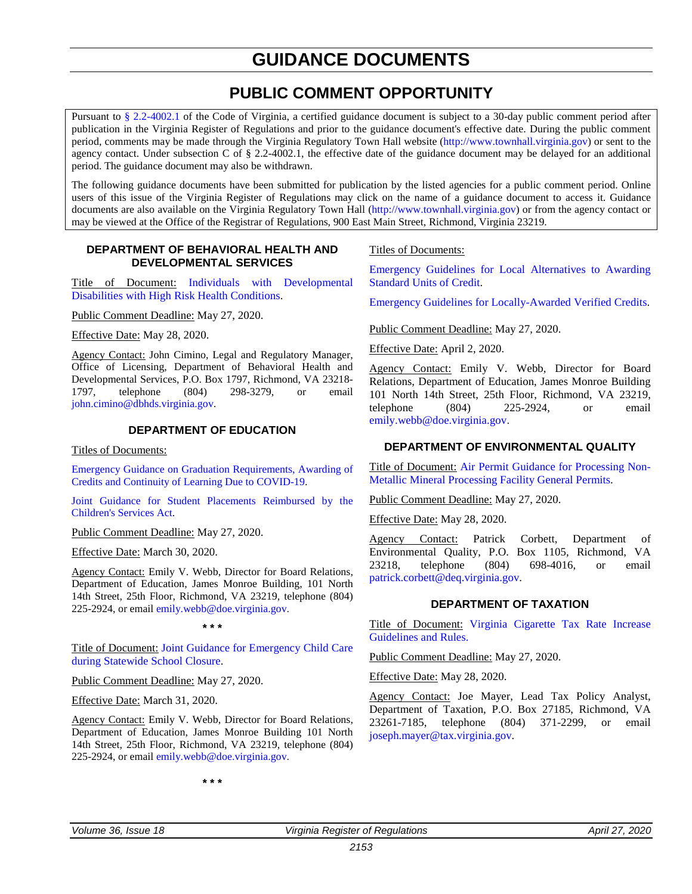### **GUIDANCE DOCUMENTS**

### **PUBLIC COMMENT OPPORTUNITY**

<span id="page-31-0"></span>Pursuant to [§ 2.2-4002.1](https://law.lis.virginia.gov/vacode/title2.2/chapter40/section2.2-4002.1/) of the Code of Virginia, a certified guidance document is subject to a 30-day public comment period after publication in the Virginia Register of Regulations and prior to the guidance document's effective date. During the public comment period, comments may be made through the Virginia Regulatory Town Hall website [\(http://www.townhall.virginia.gov\)](http://www.townhall.virginia.gov/) or sent to the agency contact. Under subsection C of § 2.2-4002.1, the effective date of the guidance document may be delayed for an additional period. The guidance document may also be withdrawn.

The following guidance documents have been submitted for publication by the listed agencies for a public comment period. Online users of this issue of the Virginia Register of Regulations may click on the name of a guidance document to access it. Guidance documents are also available on the Virginia Regulatory Town Hall [\(http://www.townhall.virginia.gov\)](http://www.townhall.virginia.gov/) or from the agency contact or may be viewed at the Office of the Registrar of Regulations, 900 East Main Street, Richmond, Virginia 23219.

#### **DEPARTMENT OF BEHAVIORAL HEALTH AND DEVELOPMENTAL SERVICES**

Title of Document: [Individuals with Developmental](file://legmain/sysdata/dlsdata/CODEREGS/Guidance%20Documents%20for%20Public%20Comment/2019%20Guid%20Docs%20-%20Destroy%20July%201,%202020/DBHDS-36-18-Individuals%20with%20Developmental%20Disabilities%20with%20High%20Risk%20Health%20Conditions.pdf)  [Disabilities with High Risk Health Conditions.](file://legmain/sysdata/dlsdata/CODEREGS/Guidance%20Documents%20for%20Public%20Comment/2019%20Guid%20Docs%20-%20Destroy%20July%201,%202020/DBHDS-36-18-Individuals%20with%20Developmental%20Disabilities%20with%20High%20Risk%20Health%20Conditions.pdf)

Public Comment Deadline: May 27, 2020.

Effective Date: May 28, 2020.

Agency Contact: John Cimino, Legal and Regulatory Manager, Office of Licensing, Department of Behavioral Health and Developmental Services, P.O. Box 1797, Richmond, VA 23218-<br>1797. telephone (804) 298-3279, or email telephone (804) 298-3279, or email [john.cimino@dbhds.virginia.gov.](mailto:john.cimino@dbhds.virginia.gov)

#### **DEPARTMENT OF EDUCATION**

Titles of Documents:

[Emergency Guidance on Graduation Requirements, Awarding of](http://www.doe.virginia.gov/support/health_)  [Credits and Continuity of Learning Due to COVID-19.](http://www.doe.virginia.gov/support/health_)

[Joint Guidance for Student Placements Reimbursed by the](file://legmain/sysdata/dlsdata/CODEREGS/regispub/Guidance%20Documents%20for%20Public%20Comment/2019%20Guid%20Docs%20-%20Destroy%20July%201,%202020/DOE-36-18-Joint%20Guidance%20for%20Student%20Placements%20Reimbursed%20by%20the%20Children%E2%80%99s%20Services%20Act.pdf)  [Children's Services Act.](file://legmain/sysdata/dlsdata/CODEREGS/regispub/Guidance%20Documents%20for%20Public%20Comment/2019%20Guid%20Docs%20-%20Destroy%20July%201,%202020/DOE-36-18-Joint%20Guidance%20for%20Student%20Placements%20Reimbursed%20by%20the%20Children%E2%80%99s%20Services%20Act.pdf)

Public Comment Deadline: May 27, 2020.

Effective Date: March 30, 2020.

Agency Contact: Emily V. Webb, Director for Board Relations, Department of Education, James Monroe Building, 101 North 14th Street, 25th Floor, Richmond, VA 23219, telephone (804) 225-2924, or email [emily.webb@doe.virginia.gov.](mailto:emily.webb@doe.virginia.gov)

**\* \* \*** 

Title of Document: [Joint Guidance for Emergency Child Care](file://legmain/sysdata/dlsdata/CODEREGS/Guidance%20Documents%20for%20Public%20Comment/2019%20Guid%20Docs%20-%20Destroy%20July%201,%202020/DOE-36-18-Joint%20Guidance%20for%20Emergency%20Child%20Care%20during%20Statewide%20School%20Closure.pdf)  [during Statewide School Closure.](file://legmain/sysdata/dlsdata/CODEREGS/Guidance%20Documents%20for%20Public%20Comment/2019%20Guid%20Docs%20-%20Destroy%20July%201,%202020/DOE-36-18-Joint%20Guidance%20for%20Emergency%20Child%20Care%20during%20Statewide%20School%20Closure.pdf)

Public Comment Deadline: May 27, 2020.

Effective Date: March 31, 2020.

Agency Contact: Emily V. Webb, Director for Board Relations, Department of Education, James Monroe Building 101 North 14th Street, 25th Floor, Richmond, VA 23219, telephone (804) 225-2924, or email [emily.webb@doe.virginia.gov.](mailto:emily.webb@doe.virginia.gov)

**\* \* \*** 

Titles of Documents:

[Emergency Guidelines for Local Alternatives to Awarding](file://legmain/sysdata/dlsdata/CODEREGS/Guidance%20Documents%20for%20Public%20Comment/2019%20Guid%20Docs%20-%20Destroy%20July%201,%202020/DOE-36-18-Emergency%20Guidelines%20for%20Local%20Alternatives%20to%20Awarding%20Standard%20Units%20of%20Credit.pdf)  [Standard Units of Credit.](file://legmain/sysdata/dlsdata/CODEREGS/Guidance%20Documents%20for%20Public%20Comment/2019%20Guid%20Docs%20-%20Destroy%20July%201,%202020/DOE-36-18-Emergency%20Guidelines%20for%20Local%20Alternatives%20to%20Awarding%20Standard%20Units%20of%20Credit.pdf)

[Emergency Guidelines for Locally-Awarded Verified Credits.](file://legmain/sysdata/dlsdata/CODEREGS/Guidance%20Documents%20for%20Public%20Comment/2019%20Guid%20Docs%20-%20Destroy%20July%201,%202020/DOE-36-18-Emergency%20Guidelines%20for%20Locally-Awarded%20Verified%20Credits.pdf)

Public Comment Deadline: May 27, 2020.

Effective Date: April 2, 2020.

Agency Contact: Emily V. Webb, Director for Board Relations, Department of Education, James Monroe Building 101 North 14th Street, 25th Floor, Richmond, VA 23219, telephone (804) 225-2924, or email [emily.webb@doe.virginia.gov.](mailto:emily.webb@doe.virginia.gov)

#### **DEPARTMENT OF ENVIRONMENTAL QUALITY**

Title of Document: [Air Permit Guidance for Processing Non-](file://legmain/sysdata/dlsdata/CODEREGS/Guidance%20Documents%20for%20Public%20Comment/2019%20Guid%20Docs%20-%20Destroy%20July%201,%202020/DEQ-36-18-Air%20Permit%20Guidance%20for%20Processing%20Non-Metallic%20Mineral%20Processing%20Facility%20General%20Permits.pdf)[Metallic Mineral Processing Facility General Permits.](file://legmain/sysdata/dlsdata/CODEREGS/Guidance%20Documents%20for%20Public%20Comment/2019%20Guid%20Docs%20-%20Destroy%20July%201,%202020/DEQ-36-18-Air%20Permit%20Guidance%20for%20Processing%20Non-Metallic%20Mineral%20Processing%20Facility%20General%20Permits.pdf)

Public Comment Deadline: May 27, 2020.

Effective Date: May 28, 2020.

Agency Contact: Patrick Corbett, Department of Environmental Quality, P.O. Box 1105, Richmond, VA 23218, telephone (804) 698-4016, or email [patrick.corbett@deq.virginia.gov.](mailto:patrick.corbett@deq.virginia.gov)

#### **DEPARTMENT OF TAXATION**

Title of Document: [Virginia Cigarette Tax Rate Increase](file://legmain/sysdata/dlsdata/CODEREGS/Guidance%20Documents%20for%20Public%20Comment/2019%20Guid%20Docs%20-%20Destroy%20July%201,%202020/TAX-36-18-Virginia%20Cigarette%20Tax%20Rate%20Increase%20Guideline%20and%20Rules.pdf)  [Guidelines and Rules.](file://legmain/sysdata/dlsdata/CODEREGS/Guidance%20Documents%20for%20Public%20Comment/2019%20Guid%20Docs%20-%20Destroy%20July%201,%202020/TAX-36-18-Virginia%20Cigarette%20Tax%20Rate%20Increase%20Guideline%20and%20Rules.pdf)

Public Comment Deadline: May 27, 2020.

Effective Date: May 28, 2020.

Agency Contact: Joe Mayer, Lead Tax Policy Analyst, Department of Taxation, P.O. Box 27185, Richmond, VA 23261-7185, telephone (804) 371-2299, or email [joseph.mayer@tax.virginia.gov.](mailto:joseph.mayer@tax.virginia.gov)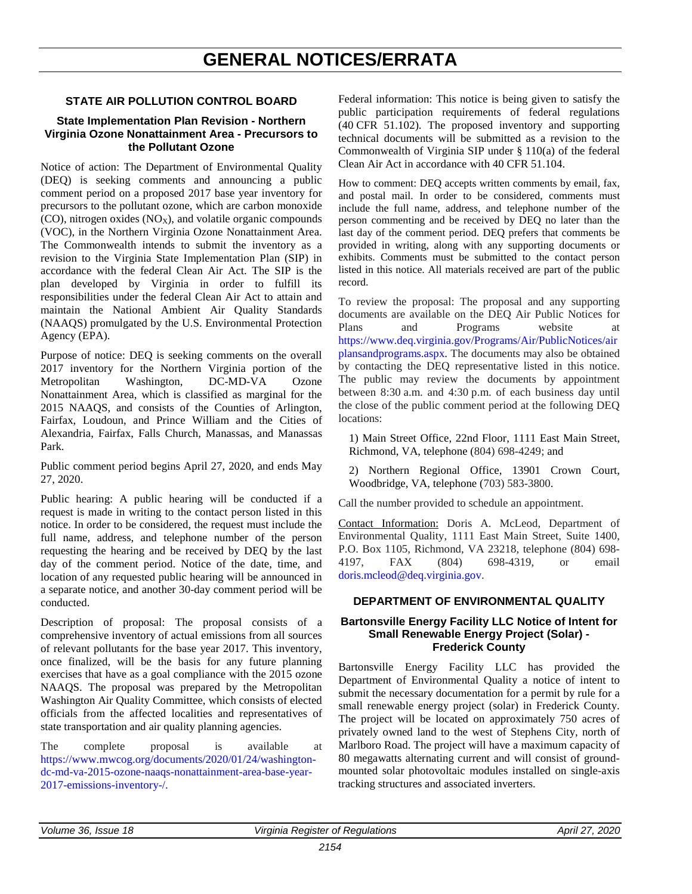### **GENERAL NOTICES/ERRATA**

#### <span id="page-32-0"></span>**STATE AIR POLLUTION CONTROL BOARD**

#### **State Implementation Plan Revision - Northern Virginia Ozone Nonattainment Area - Precursors to the Pollutant Ozone**

Notice of action: The Department of Environmental Quality (DEQ) is seeking comments and announcing a public comment period on a proposed 2017 base year inventory for precursors to the pollutant ozone, which are carbon monoxide  $(CO)$ , nitrogen oxides  $(NO<sub>X</sub>)$ , and volatile organic compounds (VOC), in the Northern Virginia Ozone Nonattainment Area. The Commonwealth intends to submit the inventory as a revision to the Virginia State Implementation Plan (SIP) in accordance with the federal Clean Air Act. The SIP is the plan developed by Virginia in order to fulfill its responsibilities under the federal Clean Air Act to attain and maintain the National Ambient Air Quality Standards (NAAQS) promulgated by the U.S. Environmental Protection Agency (EPA).

Purpose of notice: DEQ is seeking comments on the overall 2017 inventory for the Northern Virginia portion of the Metropolitan Washington, DC-MD-VA Ozone Nonattainment Area, which is classified as marginal for the 2015 NAAQS, and consists of the Counties of Arlington, Fairfax, Loudoun, and Prince William and the Cities of Alexandria, Fairfax, Falls Church, Manassas, and Manassas Park.

Public comment period begins April 27, 2020, and ends May 27, 2020.

Public hearing: A public hearing will be conducted if a request is made in writing to the contact person listed in this notice. In order to be considered, the request must include the full name, address, and telephone number of the person requesting the hearing and be received by DEQ by the last day of the comment period. Notice of the date, time, and location of any requested public hearing will be announced in a separate notice, and another 30-day comment period will be conducted.

Description of proposal: The proposal consists of a comprehensive inventory of actual emissions from all sources of relevant pollutants for the base year 2017. This inventory, once finalized, will be the basis for any future planning exercises that have as a goal compliance with the 2015 ozone NAAQS. The proposal was prepared by the Metropolitan Washington Air Quality Committee, which consists of elected officials from the affected localities and representatives of state transportation and air quality planning agencies.

The complete proposal is available at [https://www.mwcog.org/documents/2020/01/24/washington](https://www.mwcog.org/documents/2020/01/24/washington-dc-md-va-2015-ozone-naaqs-nonattainment-area-base-year-2017-emissions-inventory-/)[dc-md-va-2015-ozone-naaqs-nonattainment-area-base-year-](https://www.mwcog.org/documents/2020/01/24/washington-dc-md-va-2015-ozone-naaqs-nonattainment-area-base-year-2017-emissions-inventory-/)[2017-emissions-inventory-/.](https://www.mwcog.org/documents/2020/01/24/washington-dc-md-va-2015-ozone-naaqs-nonattainment-area-base-year-2017-emissions-inventory-/)

Federal information: This notice is being given to satisfy the public participation requirements of federal regulations (40 CFR 51.102). The proposed inventory and supporting technical documents will be submitted as a revision to the Commonwealth of Virginia SIP under § 110(a) of the federal Clean Air Act in accordance with 40 CFR 51.104.

How to comment: DEQ accepts written comments by email, fax, and postal mail. In order to be considered, comments must include the full name, address, and telephone number of the person commenting and be received by DEQ no later than the last day of the comment period. DEQ prefers that comments be provided in writing, along with any supporting documents or exhibits. Comments must be submitted to the contact person listed in this notice. All materials received are part of the public record.

To review the proposal: The proposal and any supporting documents are available on the DEQ Air Public Notices for Plans and Programs website at [https://www.deq.virginia.gov/Programs/Air/PublicNotices/air](https://www.deq.virginia.gov/Programs/Air/PublicNotices/airplansandprograms.aspx) [plansandprograms.aspx.](https://www.deq.virginia.gov/Programs/Air/PublicNotices/airplansandprograms.aspx) The documents may also be obtained by contacting the DEQ representative listed in this notice. The public may review the documents by appointment between 8:30 a.m. and 4:30 p.m. of each business day until the close of the public comment period at the following DEQ locations:

1) Main Street Office, 22nd Floor, 1111 East Main Street, Richmond, VA, telephone (804) 698-4249; and

2) Northern Regional Office, 13901 Crown Court, Woodbridge, VA, telephone (703) 583-3800.

Call the number provided to schedule an appointment.

Contact Information: Doris A. McLeod, Department of Environmental Quality, 1111 East Main Street, Suite 1400, P.O. Box 1105, Richmond, VA 23218, telephone (804) 698- 4197, FAX (804) 698-4319, or email [doris.mcleod@deq.virginia.gov.](mailto:doris.mcleod@deq.virginia.gov)

#### **DEPARTMENT OF ENVIRONMENTAL QUALITY**

#### **Bartonsville Energy Facility LLC Notice of Intent for Small Renewable Energy Project (Solar) - Frederick County**

Bartonsville Energy Facility LLC has provided the Department of Environmental Quality a notice of intent to submit the necessary documentation for a permit by rule for a small renewable energy project (solar) in Frederick County. The project will be located on approximately 750 acres of privately owned land to the west of Stephens City, north of Marlboro Road. The project will have a maximum capacity of 80 megawatts alternating current and will consist of groundmounted solar photovoltaic modules installed on single-axis tracking structures and associated inverters.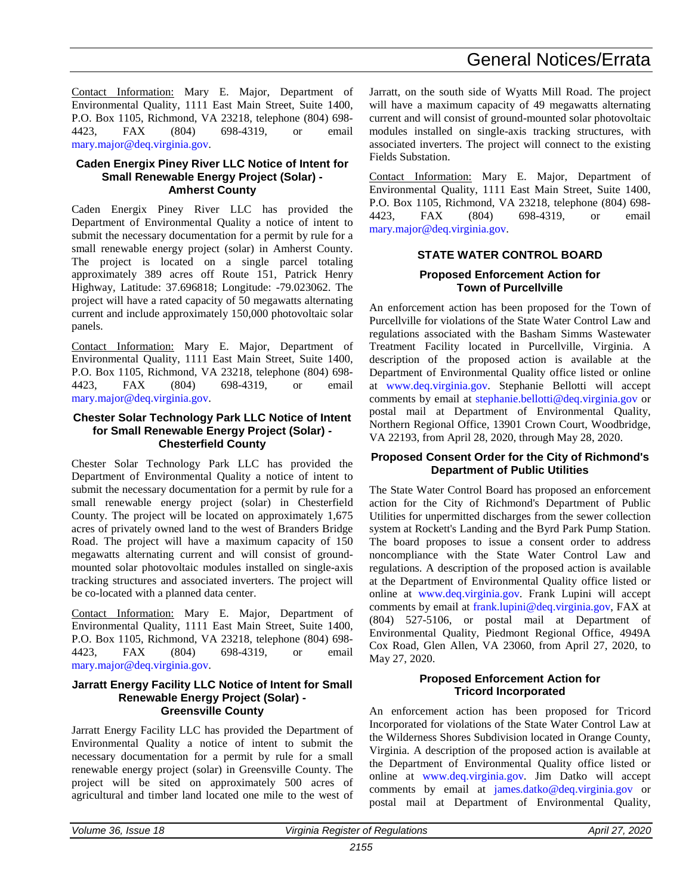### General Notices/Errata

Contact Information: Mary E. Major, Department of Environmental Quality, 1111 East Main Street, Suite 1400, P.O. Box 1105, Richmond, VA 23218, telephone (804) 698- 4423, FAX (804) 698-4319, or email [mary.major@deq.virginia.gov.](mailto:mary.major@deq.virginia.gov)

#### **Caden Energix Piney River LLC Notice of Intent for Small Renewable Energy Project (Solar) - Amherst County**

Caden Energix Piney River LLC has provided the Department of Environmental Quality a notice of intent to submit the necessary documentation for a permit by rule for a small renewable energy project (solar) in Amherst County. The project is located on a single parcel totaling approximately 389 acres off Route 151, Patrick Henry Highway, Latitude: 37.696818; Longitude: -79.023062. The project will have a rated capacity of 50 megawatts alternating current and include approximately 150,000 photovoltaic solar panels.

Contact Information: Mary E. Major, Department of Environmental Quality, 1111 East Main Street, Suite 1400, P.O. Box 1105, Richmond, VA 23218, telephone (804) 698- 4423, FAX (804) 698-4319, or email [mary.major@deq.virginia.gov.](mailto:mary.major@deq.virginia.gov)

#### **Chester Solar Technology Park LLC Notice of Intent for Small Renewable Energy Project (Solar) - Chesterfield County**

Chester Solar Technology Park LLC has provided the Department of Environmental Quality a notice of intent to submit the necessary documentation for a permit by rule for a small renewable energy project (solar) in Chesterfield County. The project will be located on approximately 1,675 acres of privately owned land to the west of Branders Bridge Road. The project will have a maximum capacity of 150 megawatts alternating current and will consist of groundmounted solar photovoltaic modules installed on single-axis tracking structures and associated inverters. The project will be co-located with a planned data center.

Contact Information: Mary E. Major, Department of Environmental Quality, 1111 East Main Street, Suite 1400, P.O. Box 1105, Richmond, VA 23218, telephone (804) 698- 4423, FAX (804) 698-4319, or email [mary.major@deq.virginia.gov.](mailto:mary.major@deq.virginia.gov)

#### **Jarratt Energy Facility LLC Notice of Intent for Small Renewable Energy Project (Solar) - Greensville County**

Jarratt Energy Facility LLC has provided the Department of Environmental Quality a notice of intent to submit the necessary documentation for a permit by rule for a small renewable energy project (solar) in Greensville County. The project will be sited on approximately 500 acres of agricultural and timber land located one mile to the west of

Jarratt, on the south side of Wyatts Mill Road. The project will have a maximum capacity of 49 megawatts alternating current and will consist of ground-mounted solar photovoltaic modules installed on single-axis tracking structures, with associated inverters. The project will connect to the existing Fields Substation.

Contact Information: Mary E. Major, Department of Environmental Quality, 1111 East Main Street, Suite 1400, P.O. Box 1105, Richmond, VA 23218, telephone (804) 698- 4423, FAX (804) 698-4319, or email [mary.major@deq.virginia.gov.](mailto:mary.major@deq.virginia.gov)

#### **STATE WATER CONTROL BOARD Proposed Enforcement Action for Town of Purcellville**

An enforcement action has been proposed for the Town of Purcellville for violations of the State Water Control Law and regulations associated with the Basham Simms Wastewater Treatment Facility located in Purcellville, Virginia. A description of the proposed action is available at the Department of Environmental Quality office listed or online at [www.deq.virginia.gov.](http://www.deq.virginia.gov/) Stephanie Bellotti will accept comments by email at [stephanie.bellotti@deq.virginia.gov](mailto:stephanie.bellotti@deq.virginia.gov) or postal mail at Department of Environmental Quality, Northern Regional Office, 13901 Crown Court, Woodbridge, VA 22193, from April 28, 2020, through May 28, 2020.

#### **Proposed Consent Order for the City of Richmond's Department of Public Utilities**

The State Water Control Board has proposed an enforcement action for the City of Richmond's Department of Public Utilities for unpermitted discharges from the sewer collection system at Rockett's Landing and the Byrd Park Pump Station. The board proposes to issue a consent order to address noncompliance with the State Water Control Law and regulations. A description of the proposed action is available at the Department of Environmental Quality office listed or online at [www.deq.virginia.gov.](http://www.deq.virginia.gov/) Frank Lupini will accept comments by email at [frank.lupini@deq.virginia.gov,](mailto:frank.lupini@deq.virginia.gov) FAX at (804) 527-5106, or postal mail at Department of Environmental Quality, Piedmont Regional Office, 4949A Cox Road, Glen Allen, VA 23060, from April 27, 2020, to May 27, 2020.

#### **Proposed Enforcement Action for Tricord Incorporated**

An enforcement action has been proposed for Tricord Incorporated for violations of the State Water Control Law at the Wilderness Shores Subdivision located in Orange County, Virginia. A description of the proposed action is available at the Department of Environmental Quality office listed or online at [www.deq.virginia.gov.](http://www.deq.virginia.gov/) Jim Datko will accept comments by email at [james.datko@deq.virginia.gov](mailto:james.datko@deq.virginia.gov) or postal mail at Department of Environmental Quality,